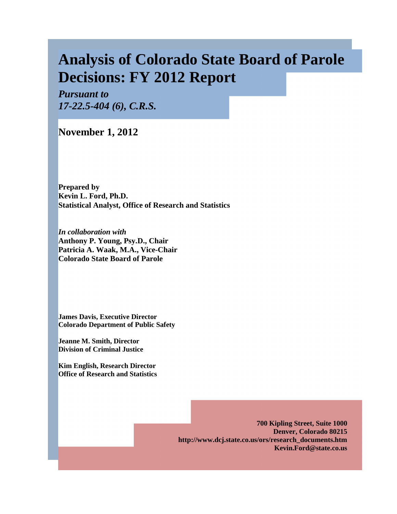# **Analysis of Colorado State Board of Parole Decisions: FY 2012 Report**

*Pursuant to 17-22.5-404 (6), C.R.S.*

**November 1, 2012**

**Prepared by Kevin L. Ford, Ph.D. Statistical Analyst, Office of Research and Statistics**

*In collaboration with* **Anthony P. Young, Psy.D., Chair Patricia A. Waak, M.A., Vice-Chair Colorado State Board of Parole**

**James Davis, Executive Director Colorado Department of Public Safety**

**Jeanne M. Smith, Director Division of Criminal Justice**

**Kim English, Research Director Office of Research and Statistics**

> **700 Kipling Street, Suite 1000 Denver, Colorado 80215 http://www.dcj.state.co.us/ors/research\_documents.htm Kevin.Ford@state.co.us**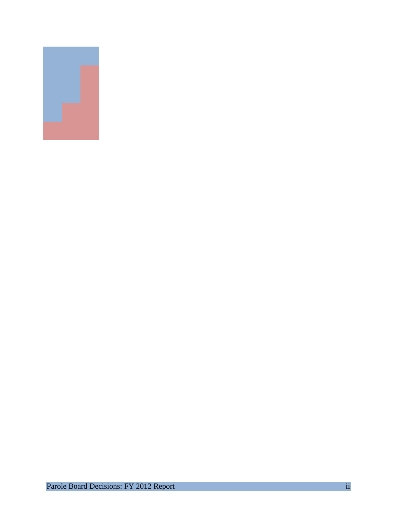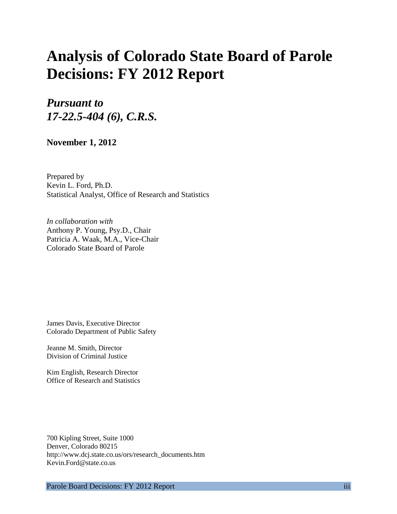# **Analysis of Colorado State Board of Parole Decisions: FY 2012 Report**

*Pursuant to 17-22.5-404 (6), C.R.S.*

**November 1, 2012**

Prepared by Kevin L. Ford, Ph.D. Statistical Analyst, Office of Research and Statistics

*In collaboration with* Anthony P. Young, Psy.D., Chair Patricia A. Waak, M.A., Vice-Chair Colorado State Board of Parole

James Davis, Executive Director Colorado Department of Public Safety

Jeanne M. Smith, Director Division of Criminal Justice

Kim English, Research Director Office of Research and Statistics

700 Kipling Street, Suite 1000 Denver, Colorado 80215 http://www.dcj.state.co.us/ors/research\_documents.htm Kevin.Ford@state.co.us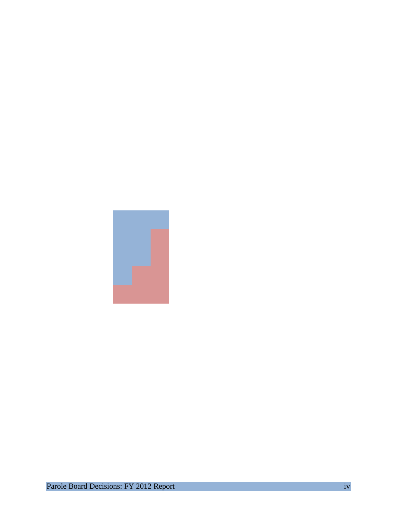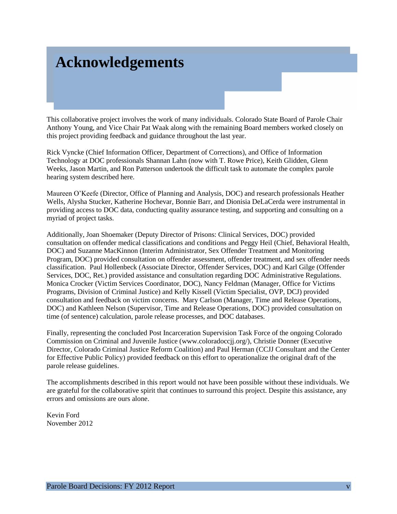# **Acknowledgements**

This collaborative project involves the work of many individuals. Colorado State Board of Parole Chair Anthony Young, and Vice Chair Pat Waak along with the remaining Board members worked closely on this project providing feedback and guidance throughout the last year.

Rick Vyncke (Chief Information Officer, Department of Corrections), and Office of Information Technology at DOC professionals Shannan Lahn (now with T. Rowe Price), Keith Glidden, Glenn Weeks, Jason Martin, and Ron Patterson undertook the difficult task to automate the complex parole hearing system described here.

Maureen O'Keefe (Director, Office of Planning and Analysis, DOC) and research professionals Heather Wells, Alysha Stucker, Katherine Hochevar, Bonnie Barr, and Dionisia DeLaCerda were instrumental in providing access to DOC data, conducting quality assurance testing, and supporting and consulting on a myriad of project tasks.

Additionally, Joan Shoemaker (Deputy Director of Prisons: Clinical Services, DOC) provided consultation on offender medical classifications and conditions and Peggy Heil (Chief, Behavioral Health, DOC) and Suzanne MacKinnon (Interim Administrator, Sex Offender Treatment and Monitoring Program, DOC) provided consultation on offender assessment, offender treatment, and sex offender needs classification. Paul Hollenbeck (Associate Director, Offender Services, DOC) and Karl Gilge (Offender Services, DOC, Ret.) provided assistance and consultation regarding DOC Administrative Regulations. Monica Crocker (Victim Services Coordinator, DOC), Nancy Feldman (Manager, Office for Victims Programs, Division of Criminal Justice) and Kelly Kissell (Victim Specialist, OVP, DCJ) provided consultation and feedback on victim concerns. Mary Carlson (Manager, Time and Release Operations, DOC) and Kathleen Nelson (Supervisor, Time and Release Operations, DOC) provided consultation on time (of sentence) calculation, parole release processes, and DOC databases.

Finally, representing the concluded Post Incarceration Supervision Task Force of the ongoing Colorado Commission on Criminal and Juvenile Justice (www.coloradoccjj.org/), Christie Donner (Executive Director, Colorado Criminal Justice Reform Coalition) and Paul Herman (CCJJ Consultant and the Center for Effective Public Policy) provided feedback on this effort to operationalize the original draft of the parole release guidelines.

The accomplishments described in this report would not have been possible without these individuals. We are grateful for the collaborative spirit that continues to surround this project. Despite this assistance, any errors and omissions are ours alone.

Kevin Ford November 2012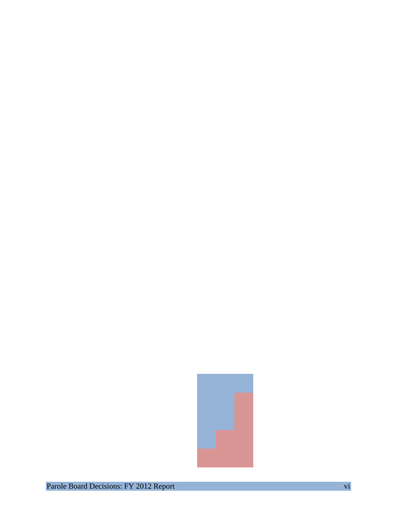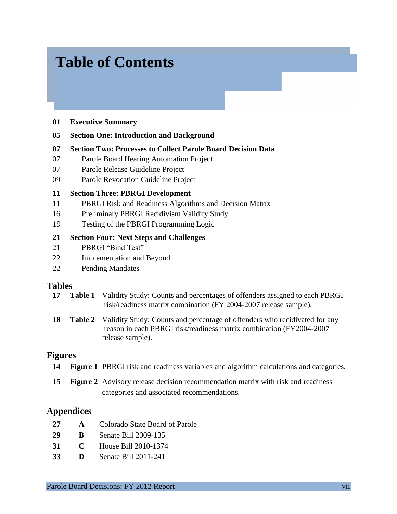## **Table of Contents**

### **Executive Summary**

- **Section One: Introduction and Background**
- **Section Two: Processes to Collect Parole Board Decision Data**
- Parole Board Hearing Automation Project
- Parole Release Guideline Project
- Parole Revocation Guideline Project

### **Section Three: PBRGI Development**

- PBRGI Risk and Readiness Algorithms and Decision Matrix
- Preliminary PBRGI Recidivism Validity Study
- Testing of the PBRGI Programming Logic

### **Section Four: Next Steps and Challenges**

- PBRGI "Bind Test"
- Implementation and Beyond
- Pending Mandates

### **Tables**

- **Table 1** Validity Study: Counts and percentages of offenders assigned to each PBRGI risk/readiness matrix combination (FY 2004-2007 release sample).
- **Table 2** Validity Study: Counts and percentage of offenders who recidivated for any reason in each PBRGI risk/readiness matrix combination (FY2004-2007 release sample).

### **Figures**

- **Figure 1** PBRGI risk and readiness variables and algorithm calculations and categories.
- **Figure 2** Advisory release decision recommendation matrix with risk and readiness categories and associated recommendations.

## **Appendices**

| 27        | $\mathbf{A}$ | Colorado State Board of Parole   |
|-----------|--------------|----------------------------------|
| <b>29</b> | R.           | <b>Senate Bill 2009-135</b>      |
| 31        |              | $\mathbf C$ House Bill 2010-1374 |

**D** Senate Bill 2011-241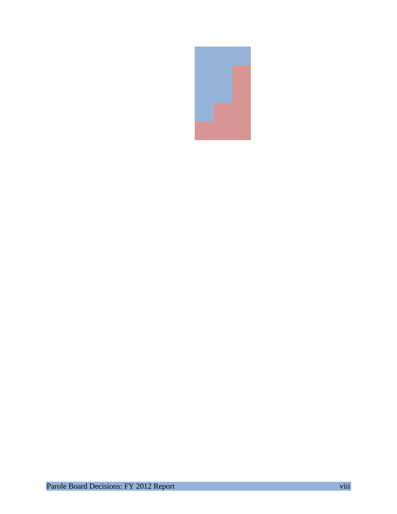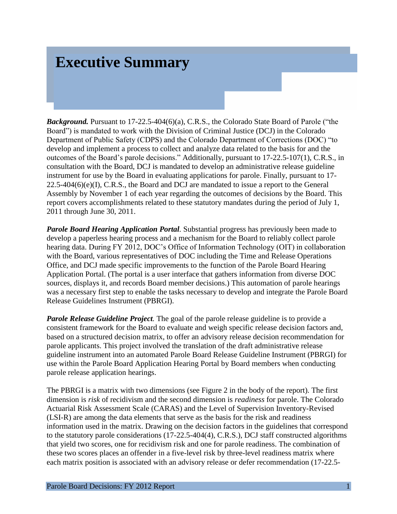## **Executive Summary**

*Background.* Pursuant to 17-22.5-404(6)(a), C.R.S., the Colorado State Board of Parole ("the Board") is mandated to work with the Division of Criminal Justice (DCJ) in the Colorado Department of Public Safety (CDPS) and the Colorado Department of Corrections (DOC) "to develop and implement a process to collect and analyze data related to the basis for and the outcomes of the Board's parole decisions." Additionally, pursuant to 17-22.5-107(1), C.R.S., in consultation with the Board, DCJ is mandated to develop an administrative release guideline instrument for use by the Board in evaluating applications for parole. Finally, pursuant to 17-  $22.5-404(6)(e)(I)$ , C.R.S., the Board and DCJ are mandated to issue a report to the General Assembly by November 1 of each year regarding the outcomes of decisions by the Board. This report covers accomplishments related to these statutory mandates during the period of July 1, 2011 through June 30, 2011.

*Parole Board Hearing Application Portal.* Substantial progress has previously been made to develop a paperless hearing process and a mechanism for the Board to reliably collect parole hearing data. During FY 2012, DOC's Office of Information Technology (OIT) in collaboration with the Board, various representatives of DOC including the Time and Release Operations Office, and DCJ made specific improvements to the function of the Parole Board Hearing Application Portal. (The portal is a user interface that gathers information from diverse DOC sources, displays it, and records Board member decisions.) This automation of parole hearings was a necessary first step to enable the tasks necessary to develop and integrate the Parole Board Release Guidelines Instrument (PBRGI).

*Parole Release Guideline Project.* The goal of the parole release guideline is to provide a consistent framework for the Board to evaluate and weigh specific release decision factors and, based on a structured decision matrix, to offer an advisory release decision recommendation for parole applicants. This project involved the translation of the draft administrative release guideline instrument into an automated Parole Board Release Guideline Instrument (PBRGI) for use within the Parole Board Application Hearing Portal by Board members when conducting parole release application hearings.

The PBRGI is a matrix with two dimensions (see Figure 2 in the body of the report). The first dimension is *risk* of recidivism and the second dimension is *readiness* for parole. The Colorado Actuarial Risk Assessment Scale (CARAS) and the Level of Supervision Inventory-Revised (LSI-R) are among the data elements that serve as the basis for the risk and readiness information used in the matrix. Drawing on the decision factors in the guidelines that correspond to the statutory parole considerations (17-22.5-404(4), C.R.S.), DCJ staff constructed algorithms that yield two scores, one for recidivism risk and one for parole readiness. The combination of these two scores places an offender in a five-level risk by three-level readiness matrix where each matrix position is associated with an advisory release or defer recommendation (17-22.5-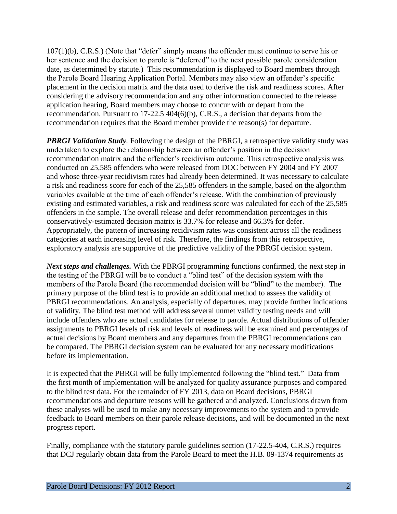107(1)(b), C.R.S.) (Note that "defer" simply means the offender must continue to serve his or her sentence and the decision to parole is "deferred" to the next possible parole consideration date, as determined by statute.) This recommendation is displayed to Board members through the Parole Board Hearing Application Portal. Members may also view an offender's specific placement in the decision matrix and the data used to derive the risk and readiness scores. After considering the advisory recommendation and any other information connected to the release application hearing, Board members may choose to concur with or depart from the recommendation. Pursuant to 17-22.5 404(6)(b), C.R.S., a decision that departs from the recommendation requires that the Board member provide the reason(s) for departure.

*PBRGI Validation Study.* Following the design of the PBRGI, a retrospective validity study was undertaken to explore the relationship between an offender's position in the decision recommendation matrix and the offender's recidivism outcome. This retrospective analysis was conducted on 25,585 offenders who were released from DOC between FY 2004 and FY 2007 and whose three-year recidivism rates had already been determined. It was necessary to calculate a risk and readiness score for each of the 25,585 offenders in the sample, based on the algorithm variables available at the time of each offender's release. With the combination of previously existing and estimated variables, a risk and readiness score was calculated for each of the 25,585 offenders in the sample. The overall release and defer recommendation percentages in this conservatively-estimated decision matrix is 33.7% for release and 66.3% for defer. Appropriately, the pattern of increasing recidivism rates was consistent across all the readiness categories at each increasing level of risk. Therefore, the findings from this retrospective, exploratory analysis are supportive of the predictive validity of the PBRGI decision system.

*Next steps and challenges.* With the PBRGI programming functions confirmed, the next step in the testing of the PBRGI will be to conduct a "blind test" of the decision system with the members of the Parole Board (the recommended decision will be "blind" to the member). The primary purpose of the blind test is to provide an additional method to assess the validity of PBRGI recommendations. An analysis, especially of departures, may provide further indications of validity. The blind test method will address several unmet validity testing needs and will include offenders who are actual candidates for release to parole. Actual distributions of offender assignments to PBRGI levels of risk and levels of readiness will be examined and percentages of actual decisions by Board members and any departures from the PBRGI recommendations can be compared. The PBRGI decision system can be evaluated for any necessary modifications before its implementation.

It is expected that the PBRGI will be fully implemented following the "blind test." Data from the first month of implementation will be analyzed for quality assurance purposes and compared to the blind test data. For the remainder of FY 2013, data on Board decisions, PBRGI recommendations and departure reasons will be gathered and analyzed. Conclusions drawn from these analyses will be used to make any necessary improvements to the system and to provide feedback to Board members on their parole release decisions, and will be documented in the next progress report.

Finally, compliance with the statutory parole guidelines section (17-22.5-404, C.R.S.) requires that DCJ regularly obtain data from the Parole Board to meet the H.B. 09-1374 requirements as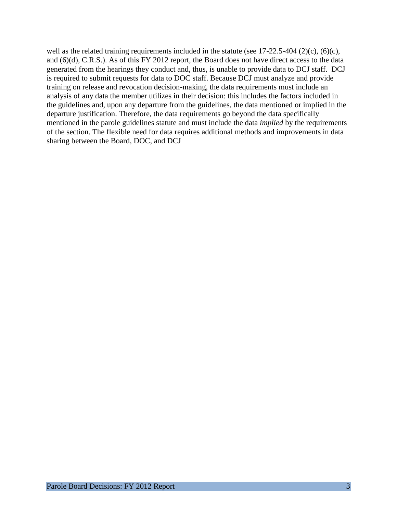well as the related training requirements included in the statute (see 17-22.5-404 (2)(c), (6)(c), and (6)(d), C.R.S.). As of this FY 2012 report, the Board does not have direct access to the data generated from the hearings they conduct and, thus, is unable to provide data to DCJ staff. DCJ is required to submit requests for data to DOC staff. Because DCJ must analyze and provide training on release and revocation decision-making, the data requirements must include an analysis of any data the member utilizes in their decision: this includes the factors included in the guidelines and, upon any departure from the guidelines, the data mentioned or implied in the departure justification. Therefore, the data requirements go beyond the data specifically mentioned in the parole guidelines statute and must include the data *implied* by the requirements of the section. The flexible need for data requires additional methods and improvements in data sharing between the Board, DOC, and DCJ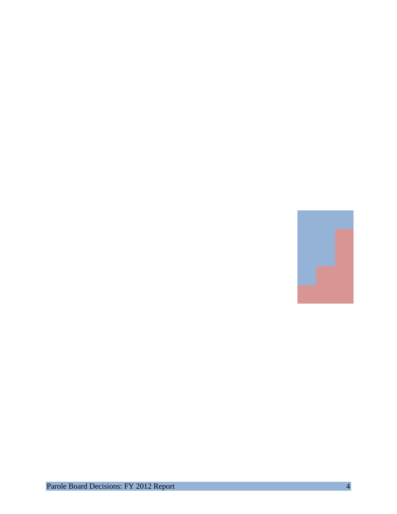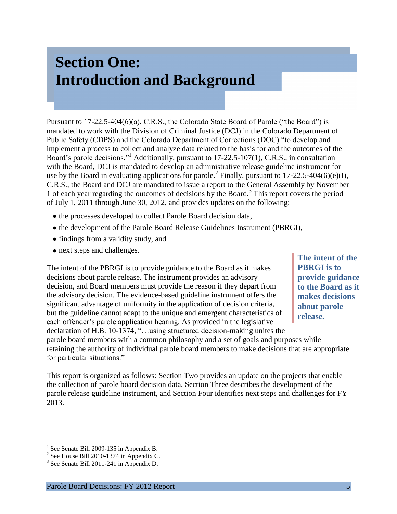# **Section One: Introduction and Background**

Pursuant to 17-22.5-404(6)(a), C.R.S., the Colorado State Board of Parole ("the Board") is mandated to work with the Division of Criminal Justice (DCJ) in the Colorado Department of Public Safety (CDPS) and the Colorado Department of Corrections (DOC) "to develop and implement a process to collect and analyze data related to the basis for and the outcomes of the Board's parole decisions."<sup>1</sup> Additionally, pursuant to 17-22.5-107(1), C.R.S., in consultation with the Board, DCJ is mandated to develop an administrative release guideline instrument for use by the Board in evaluating applications for parole.<sup>2</sup> Finally, pursuant to 17-22.5-404(6)(e)(I), C.R.S., the Board and DCJ are mandated to issue a report to the General Assembly by November 1 of each year regarding the outcomes of decisions by the Board.<sup>3</sup> This report covers the period of July 1, 2011 through June 30, 2012, and provides updates on the following:

- the processes developed to collect Parole Board decision data,
- the development of the Parole Board Release Guidelines Instrument (PBRGI),
- findings from a validity study, and
- next steps and challenges.

The intent of the PBRGI is to provide guidance to the Board as it makes decisions about parole release. The instrument provides an advisory decision, and Board members must provide the reason if they depart from the advisory decision. The evidence-based guideline instrument offers the significant advantage of uniformity in the application of decision criteria, but the guideline cannot adapt to the unique and emergent characteristics of each offender's parole application hearing. As provided in the legislative declaration of H.B. 10-1374, "…using structured decision-making unites the

**The intent of the PBRGI is to provide guidance to the Board as it makes decisions about parole release.**

parole board members with a common philosophy and a set of goals and purposes while retaining the authority of individual parole board members to make decisions that are appropriate for particular situations."

This report is organized as follows: Section Two provides an update on the projects that enable the collection of parole board decision data, Section Three describes the development of the parole release guideline instrument, and Section Four identifies next steps and challenges for FY 2013.

<sup>&</sup>lt;sup>1</sup> See Senate Bill 2009-135 in Appendix B.

<sup>2</sup> See House Bill 2010-1374 in Appendix C.

<sup>3</sup> See Senate Bill 2011-241 in Appendix D.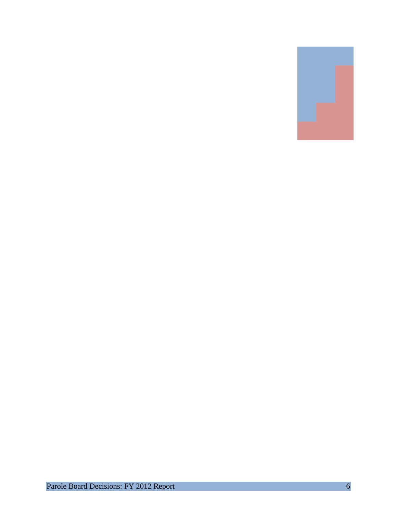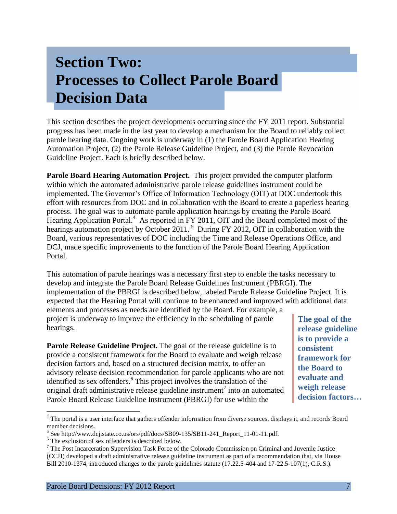# **Section Two: Processes to Collect Parole Board Decision Data**

This section describes the project developments occurring since the FY 2011 report. Substantial progress has been made in the last year to develop a mechanism for the Board to reliably collect parole hearing data. Ongoing work is underway in (1) the Parole Board Application Hearing Automation Project, (2) the Parole Release Guideline Project, and (3) the Parole Revocation Guideline Project. Each is briefly described below.

**Parole Board Hearing Automation Project.** This project provided the computer platform within which the automated administrative parole release guidelines instrument could be implemented. The Governor's Office of Information Technology (OIT) at DOC undertook this effort with resources from DOC and in collaboration with the Board to create a paperless hearing process. The goal was to automate parole application hearings by creating the Parole Board Hearing Application Portal.<sup>4</sup> As reported in FY 2011, OIT and the Board completed most of the hearings automation project by October 2011.<sup>5</sup> During FY 2012, OIT in collaboration with the Board, various representatives of DOC including the Time and Release Operations Office, and DCJ, made specific improvements to the function of the Parole Board Hearing Application Portal.

This automation of parole hearings was a necessary first step to enable the tasks necessary to develop and integrate the Parole Board Release Guidelines Instrument (PBRGI). The implementation of the PBRGI is described below, labeled Parole Release Guideline Project. It is expected that the Hearing Portal will continue to be enhanced and improved with additional data elements and processes as needs are identified by the Board. For example, a

project is underway to improve the efficiency in the scheduling of parole hearings.

**Parole Release Guideline Project.** The goal of the release guideline is to provide a consistent framework for the Board to evaluate and weigh release decision factors and, based on a structured decision matrix, to offer an advisory release decision recommendation for parole applicants who are not identified as sex offenders.<sup>6</sup> This project involves the translation of the original draft administrative release guideline instrument<sup>7</sup> into an automated Parole Board Release Guideline Instrument (PBRGI) for use within the

**The goal of the release guideline is to provide a consistent framework for the Board to evaluate and weigh release decision factors…**

<sup>&</sup>lt;sup>4</sup> The portal is a user interface that gathers offender information from diverse sources, displays it, and records Board member decisions.

<sup>&</sup>lt;sup>5</sup> See http://www.dcj.state.co.us/ors/pdf/docs/SB09-135/SB11-241\_Report\_11-01-11.pdf.

<sup>6</sup> The exclusion of sex offenders is described below.

<sup>7</sup> The Post Incarceration Supervision Task Force of the Colorado Commission on Criminal and Juvenile Justice (CCJJ) developed a draft administrative release guideline instrument as part of a recommendation that, via House Bill 2010-1374, introduced changes to the parole guidelines statute (17.22.5-404 and 17-22.5-107(1), C.R.S.).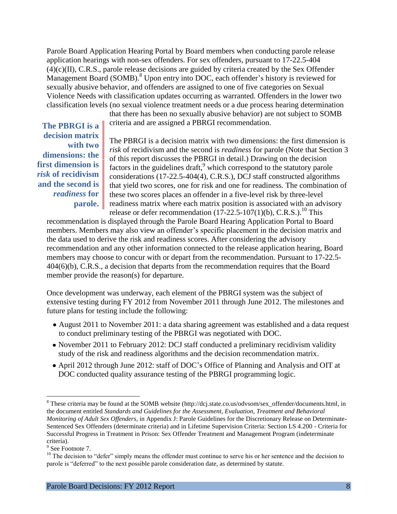Parole Board Application Hearing Portal by Board members when conducting parole release application hearings with non-sex offenders. For sex offenders, pursuant to 17-22.5-404 (4)(c)(II), C.R.S., parole release decisions are guided by criteria created by the Sex Offender Management Board (SOMB).<sup>8</sup> Upon entry into DOC, each offender's history is reviewed for sexually abusive behavior, and offenders are assigned to one of five categories on Sexual Violence Needs with classification updates occurring as warranted. Offenders in the lower two classification levels (no sexual violence treatment needs or a due process hearing determination

**The PBRGI is a**  that there has been no sexually abusive behavior) are not subject to SOMB criteria and are assigned a PBRGI recommendation.

**decision matrix with two dimensions: the first dimension is**  *risk* **of recidivism and the second is**  *readiness* **for parole.**

The PBRGI is a decision matrix with two dimensions: the first dimension is *risk* of recidivism and the second is *readiness* for parole (Note that Section 3 of this report discusses the PBRGI in detail.) Drawing on the decision factors in the guidelines draft,<sup>9</sup> which correspond to the statutory parole considerations (17-22.5-404(4), C.R.S.), DCJ staff constructed algorithms that yield two scores, one for risk and one for readiness. The combination of these two scores places an offender in a five-level risk by three-level readiness matrix where each matrix position is associated with an advisory release or defer recommendation  $(17{\text -}22.5{\text -}107(1)(b), C.R.S.)$ .<sup>10</sup> This

recommendation is displayed through the Parole Board Hearing Application Portal to Board members. Members may also view an offender's specific placement in the decision matrix and the data used to derive the risk and readiness scores. After considering the advisory recommendation and any other information connected to the release application hearing, Board members may choose to concur with or depart from the recommendation. Pursuant to 17-22.5- 404(6)(b), C.R.S., a decision that departs from the recommendation requires that the Board member provide the reason(s) for departure.

Once development was underway, each element of the PBRGI system was the subject of extensive testing during FY 2012 from November 2011 through June 2012. The milestones and future plans for testing include the following:

- August 2011 to November 2011: a data sharing agreement was established and a data request to conduct preliminary testing of the PBRGI was negotiated with DOC.
- November 2011 to February 2012: DCJ staff conducted a preliminary recidivism validity study of the risk and readiness algorithms and the decision recommendation matrix.
- April 2012 through June 2012: staff of DOC's Office of Planning and Analysis and OIT at DOC conducted quality assurance testing of the PBRGI programming logic.

<sup>&</sup>lt;sup>8</sup> These criteria may be found at the SOMB website (http://dcj.state.co.us/odvsom/sex\_offender/documents.html, in the document entitled *Standards and Guidelines for the Assessment, Evaluation, Treatment and Behavioral Monitoring of Adult Sex Offenders*, in Appendix J: Parole Guidelines for the Discretionary Release on Determinate-Sentenced Sex Offenders (determinate criteria) and in Lifetime Supervision Criteria: Section LS 4.200 - Criteria for Successful Progress in Treatment in Prison: Sex Offender Treatment and Management Program (indeterminate criteria).

<sup>&</sup>lt;sup>9</sup> See Footnote 7.

<sup>&</sup>lt;sup>10</sup> The decision to "defer" simply means the offender must continue to serve his or her sentence and the decision to parole is "deferred" to the next possible parole consideration date, as determined by statute.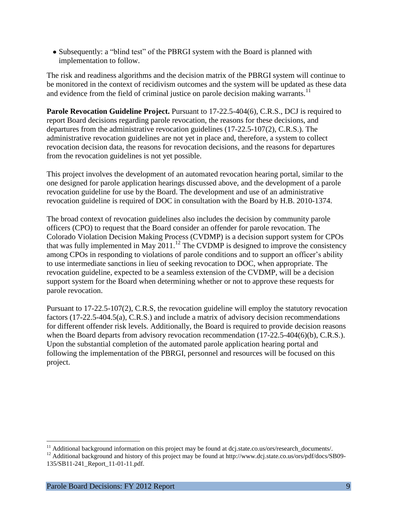• Subsequently: a "blind test" of the PBRGI system with the Board is planned with implementation to follow.

The risk and readiness algorithms and the decision matrix of the PBRGI system will continue to be monitored in the context of recidivism outcomes and the system will be updated as these data and evidence from the field of criminal justice on parole decision making warrants.<sup>11</sup>

**Parole Revocation Guideline Project.** Pursuant to 17-22.5-404(6), C.R.S., DCJ is required to report Board decisions regarding parole revocation, the reasons for these decisions, and departures from the administrative revocation guidelines (17-22.5-107(2), C.R.S.). The administrative revocation guidelines are not yet in place and, therefore, a system to collect revocation decision data, the reasons for revocation decisions, and the reasons for departures from the revocation guidelines is not yet possible.

This project involves the development of an automated revocation hearing portal, similar to the one designed for parole application hearings discussed above, and the development of a parole revocation guideline for use by the Board. The development and use of an administrative revocation guideline is required of DOC in consultation with the Board by H.B. 2010-1374.

The broad context of revocation guidelines also includes the decision by community parole officers (CPO) to request that the Board consider an offender for parole revocation. The Colorado Violation Decision Making Process (CVDMP) is a decision support system for CPOs that was fully implemented in May 2011. <sup>12</sup> The CVDMP is designed to improve the consistency among CPOs in responding to violations of parole conditions and to support an officer's ability to use intermediate sanctions in lieu of seeking revocation to DOC, when appropriate. The revocation guideline, expected to be a seamless extension of the CVDMP, will be a decision support system for the Board when determining whether or not to approve these requests for parole revocation.

Pursuant to 17-22.5-107(2), C.R.S, the revocation guideline will employ the statutory revocation factors (17-22.5-404.5(a), C.R.S.) and include a matrix of advisory decision recommendations for different offender risk levels. Additionally, the Board is required to provide decision reasons when the Board departs from advisory revocation recommendation (17-22.5-404(6)(b), C.R.S.). Upon the substantial completion of the automated parole application hearing portal and following the implementation of the PBRGI, personnel and resources will be focused on this project.

<sup>&</sup>lt;sup>11</sup> Additional background information on this project may be found at dcj.state.co.us/ors/research\_documents/.

<sup>&</sup>lt;sup>12</sup> Additional background and history of this project may be found at http://www.dcj.state.co.us/ors/pdf/docs/SB09-135/SB11-241\_Report\_11-01-11.pdf.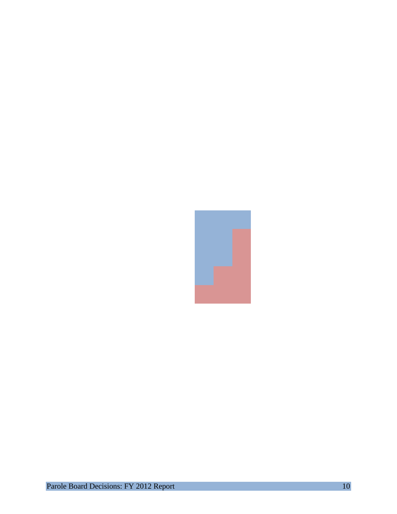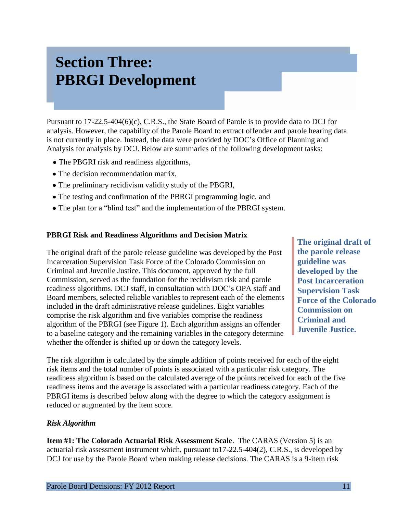# **Section Three: PBRGI Development**

Pursuant to 17-22.5-404(6)(c), C.R.S., the State Board of Parole is to provide data to DCJ for analysis. However, the capability of the Parole Board to extract offender and parole hearing data is not currently in place. Instead, the data were provided by DOC's Office of Planning and Analysis for analysis by DCJ. Below are summaries of the following development tasks:

- The PBGRI risk and readiness algorithms,
- The decision recommendation matrix,
- The preliminary recidivism validity study of the PBGRI,
- The testing and confirmation of the PBRGI programming logic, and
- The plan for a "blind test" and the implementation of the PBRGI system.

### **PBRGI Risk and Readiness Algorithms and Decision Matrix**

The original draft of the parole release guideline was developed by the Post Incarceration Supervision Task Force of the Colorado Commission on Criminal and Juvenile Justice. This document, approved by the full Commission, served as the foundation for the recidivism risk and parole readiness algorithms. DCJ staff, in consultation with DOC's OPA staff and Board members, selected reliable variables to represent each of the elements included in the draft administrative release guidelines. Eight variables comprise the risk algorithm and five variables comprise the readiness algorithm of the PBRGI (see Figure 1). Each algorithm assigns an offender to a baseline category and the remaining variables in the category determine whether the offender is shifted up or down the category levels.

**The original draft of the parole release guideline was developed by the Post Incarceration Supervision Task Force of the Colorado Commission on Criminal and Juvenile Justice.**

The risk algorithm is calculated by the simple addition of points received for each of the eight risk items and the total number of points is associated with a particular risk category. The readiness algorithm is based on the calculated average of the points received for each of the five readiness items and the average is associated with a particular readiness category. Each of the PBRGI items is described below along with the degree to which the category assignment is reduced or augmented by the item score.

### *Risk Algorithm*

**Item #1: The Colorado Actuarial Risk Assessment Scale**. The CARAS (Version 5) is an actuarial risk assessment instrument which, pursuant to17-22.5-404(2), C.R.S., is developed by DCJ for use by the Parole Board when making release decisions. The CARAS is a 9-item risk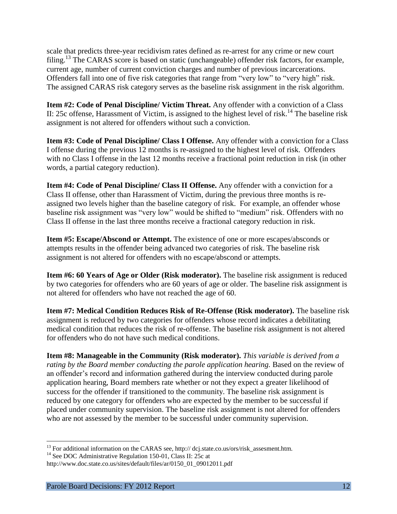scale that predicts three-year recidivism rates defined as re-arrest for any crime or new court filing.<sup>13</sup> The CARAS score is based on static (unchangeable) offender risk factors, for example, current age, number of current conviction charges and number of previous incarcerations. Offenders fall into one of five risk categories that range from "very low" to "very high" risk. The assigned CARAS risk category serves as the baseline risk assignment in the risk algorithm.

**Item #2: Code of Penal Discipline/ Victim Threat.** Any offender with a conviction of a Class II: 25c offense, Harassment of Victim, is assigned to the highest level of risk.<sup>14</sup> The baseline risk assignment is not altered for offenders without such a conviction.

**Item #3: Code of Penal Discipline/ Class I Offense.** Any offender with a conviction for a Class I offense during the previous 12 months is re-assigned to the highest level of risk. Offenders with no Class I offense in the last 12 months receive a fractional point reduction in risk (in other words, a partial category reduction).

**Item #4: Code of Penal Discipline/ Class II Offense.** Any offender with a conviction for a Class II offense, other than Harassment of Victim, during the previous three months is reassigned two levels higher than the baseline category of risk. For example, an offender whose baseline risk assignment was "very low" would be shifted to "medium" risk. Offenders with no Class II offense in the last three months receive a fractional category reduction in risk.

**Item #5: Escape/Abscond or Attempt.** The existence of one or more escapes/absconds or attempts results in the offender being advanced two categories of risk. The baseline risk assignment is not altered for offenders with no escape/abscond or attempts.

**Item #6: 60 Years of Age or Older (Risk moderator).** The baseline risk assignment is reduced by two categories for offenders who are 60 years of age or older. The baseline risk assignment is not altered for offenders who have not reached the age of 60.

**Item #7: Medical Condition Reduces Risk of Re-Offense (Risk moderator).** The baseline risk assignment is reduced by two categories for offenders whose record indicates a debilitating medical condition that reduces the risk of re-offense. The baseline risk assignment is not altered for offenders who do not have such medical conditions.

**Item #8: Manageable in the Community (Risk moderator).** *This variable is derived from a rating by the Board member conducting the parole application hearing.* Based on the review of an offender's record and information gathered during the interview conducted during parole application hearing, Board members rate whether or not they expect a greater likelihood of success for the offender if transitioned to the community. The baseline risk assignment is reduced by one category for offenders who are expected by the member to be successful if placed under community supervision. The baseline risk assignment is not altered for offenders who are not assessed by the member to be successful under community supervision.

 $\overline{a}$  $^{13}$  For additional information on the CARAS see, http:// dcj.state.co.us/ors/risk\_assesment.htm.

<sup>&</sup>lt;sup>14</sup> See DOC Administrative Regulation 150-01, Class II: 25c at

http://www.doc.state.co.us/sites/default/files/ar/0150\_01\_09012011.pdf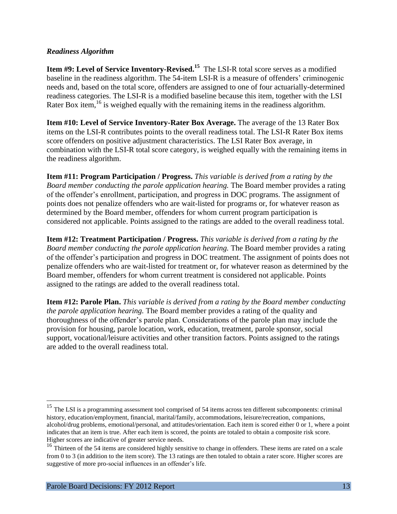### *Readiness Algorithm*

**Item #9: Level of Service Inventory-Revised. 15** The LSI-R total score serves as a modified baseline in the readiness algorithm. The 54-item LSI-R is a measure of offenders' criminogenic needs and, based on the total score, offenders are assigned to one of four actuarially-determined readiness categories. The LSI-R is a modified baseline because this item, together with the LSI Rater Box item,<sup>16</sup> is weighed equally with the remaining items in the readiness algorithm.

**Item #10: Level of Service Inventory-Rater Box Average.** The average of the 13 Rater Box items on the LSI-R contributes points to the overall readiness total. The LSI-R Rater Box items score offenders on positive adjustment characteristics. The LSI Rater Box average, in combination with the LSI-R total score category, is weighed equally with the remaining items in the readiness algorithm.

**Item #11: Program Participation / Progress.** *This variable is derived from a rating by the Board member conducting the parole application hearing.* The Board member provides a rating of the offender's enrollment, participation, and progress in DOC programs. The assignment of points does not penalize offenders who are wait-listed for programs or, for whatever reason as determined by the Board member, offenders for whom current program participation is considered not applicable. Points assigned to the ratings are added to the overall readiness total.

**Item #12: Treatment Participation / Progress.** *This variable is derived from a rating by the Board member conducting the parole application hearing.* The Board member provides a rating of the offender's participation and progress in DOC treatment. The assignment of points does not penalize offenders who are wait-listed for treatment or, for whatever reason as determined by the Board member, offenders for whom current treatment is considered not applicable. Points assigned to the ratings are added to the overall readiness total.

**Item #12: Parole Plan.** *This variable is derived from a rating by the Board member conducting the parole application hearing.* The Board member provides a rating of the quality and thoroughness of the offender's parole plan. Considerations of the parole plan may include the provision for housing, parole location, work, education, treatment, parole sponsor, social support, vocational/leisure activities and other transition factors. Points assigned to the ratings are added to the overall readiness total.

<sup>&</sup>lt;sup>15</sup> The LSI is a programming assessment tool comprised of 54 items across ten different subcomponents: criminal history, education/employment, financial, marital/family, accommodations, leisure/recreation, companions, alcohol/drug problems, emotional/personal, and attitudes/orientation. Each item is scored either 0 or 1, where a point indicates that an item is true. After each item is scored, the points are totaled to obtain a composite risk score. Higher scores are indicative of greater service needs.

<sup>&</sup>lt;sup>16</sup> Thirteen of the 54 items are considered highly sensitive to change in offenders. These items are rated on a scale from 0 to 3 (in addition to the item score). The 13 ratings are then totaled to obtain a rater score. Higher scores are suggestive of more pro-social influences in an offender's life.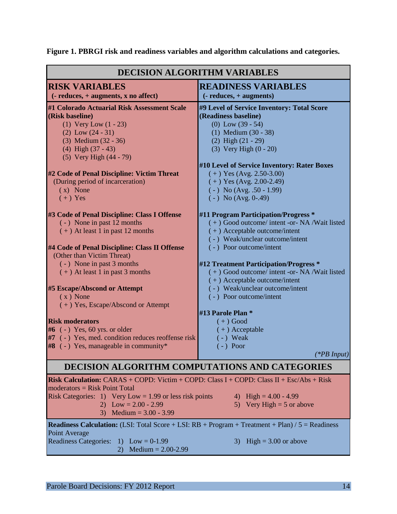|  |  |  |  | Figure 1. PBRGI risk and readiness variables and algorithm calculations and categories. |  |
|--|--|--|--|-----------------------------------------------------------------------------------------|--|
|--|--|--|--|-----------------------------------------------------------------------------------------|--|

| <b>DECISION ALGORITHM VARIABLES</b>                                                                       |                                                |  |  |  |  |
|-----------------------------------------------------------------------------------------------------------|------------------------------------------------|--|--|--|--|
| <b>RISK VARIABLES</b>                                                                                     | <b>READINESS VARIABLES</b>                     |  |  |  |  |
| (- reduces, + augments, x no affect)                                                                      | $(-reduces, + augments)$                       |  |  |  |  |
| #1 Colorado Actuarial Risk Assessment Scale                                                               | #9 Level of Service Inventory: Total Score     |  |  |  |  |
| (Risk baseline)                                                                                           | (Readiness baseline)                           |  |  |  |  |
| (1) Very Low $(1 - 23)$                                                                                   | (0) Low $(39 - 54)$                            |  |  |  |  |
| $(2)$ Low $(24 - 31)$                                                                                     | $(1)$ Medium $(30 - 38)$                       |  |  |  |  |
| $(3)$ Medium $(32 - 36)$                                                                                  | $(2)$ High $(21 - 29)$                         |  |  |  |  |
| $(4)$ High $(37 - 43)$                                                                                    | $(3)$ Very High $(0 - 20)$                     |  |  |  |  |
| $(5)$ Very High $(44 - 79)$                                                                               |                                                |  |  |  |  |
|                                                                                                           | #10 Level of Service Inventory: Rater Boxes    |  |  |  |  |
| #2 Code of Penal Discipline: Victim Threat                                                                | $(+)$ Yes (Avg. 2.50-3.00)                     |  |  |  |  |
| (During period of incarceration)                                                                          | $(+)$ Yes (Avg. 2.00-2.49)                     |  |  |  |  |
| $(x)$ None                                                                                                | $(-)$ No (Avg. .50 - 1.99)                     |  |  |  |  |
| $(+)$ Yes                                                                                                 | $(-)$ No (Avg. 0-.49)                          |  |  |  |  |
| #3 Code of Penal Discipline: Class I Offense                                                              | #11 Program Participation/Progress *           |  |  |  |  |
| (-) None in past 12 months                                                                                | (+) Good outcome/ intent -or- NA /Wait listed  |  |  |  |  |
| $(+)$ At least 1 in past 12 months                                                                        | $(+)$ Acceptable outcome/intent                |  |  |  |  |
|                                                                                                           | (-) Weak/unclear outcome/intent                |  |  |  |  |
| #4 Code of Penal Discipline: Class II Offense                                                             | (-) Poor outcome/intent                        |  |  |  |  |
| (Other than Victim Threat)                                                                                |                                                |  |  |  |  |
| (-) None in past 3 months                                                                                 | #12 Treatment Participation/Progress *         |  |  |  |  |
| $(+)$ At least 1 in past 3 months                                                                         | (+) Good outcome/ intent -or- NA/Wait listed   |  |  |  |  |
|                                                                                                           | $(+)$ Acceptable outcome/intent                |  |  |  |  |
| #5 Escape/Abscond or Attempt                                                                              | (-) Weak/unclear outcome/intent                |  |  |  |  |
| $(x)$ None                                                                                                | (-) Poor outcome/intent                        |  |  |  |  |
| (+) Yes, Escape/Abscond or Attempt                                                                        |                                                |  |  |  |  |
|                                                                                                           | #13 Parole Plan *                              |  |  |  |  |
| <b>Risk moderators</b>                                                                                    | $(+)$ Good                                     |  |  |  |  |
| $#6$ (-) Yes, 60 yrs. or older                                                                            | $(+)$ Acceptable                               |  |  |  |  |
| $#7$ (-) Yes, med. condition reduces reoffense risk                                                       | $(-)$ Weak                                     |  |  |  |  |
| $#8$ (-) Yes, manageable in community*                                                                    | $(-)$ Poor                                     |  |  |  |  |
|                                                                                                           | $(*PB \; Input)$                               |  |  |  |  |
|                                                                                                           | DECISION ALGORITHM COMPUTATIONS AND CATEGORIES |  |  |  |  |
| <b>Risk Calculation:</b> CARAS + COPD: Victim + COPD: Class $I$ + COPD: Class $II$ + Esc/Abs + Risk       |                                                |  |  |  |  |
| $moderators = Risk Point Total$                                                                           |                                                |  |  |  |  |
| Risk Categories: 1) Very Low = 1.99 or less risk points<br>4) High = $4.00 - 4.99$                        |                                                |  |  |  |  |
| $Low = 2.00 - 2.99$<br>2)<br>5) Very High = $5$ or above                                                  |                                                |  |  |  |  |
| Medium = $3.00 - 3.99$<br>3)                                                                              |                                                |  |  |  |  |
| <b>Readiness Calculation:</b> (LSI: Total Score + LSI: RB + Program + Treatment + Plan) / $5 =$ Readiness |                                                |  |  |  |  |
| Point Average                                                                                             |                                                |  |  |  |  |
| <b>Readiness Categories:</b><br>1) Low = $0-1.99$                                                         | $High = 3.00$ or above<br>3)                   |  |  |  |  |
| Medium = $2.00 - 2.99$<br>2)                                                                              |                                                |  |  |  |  |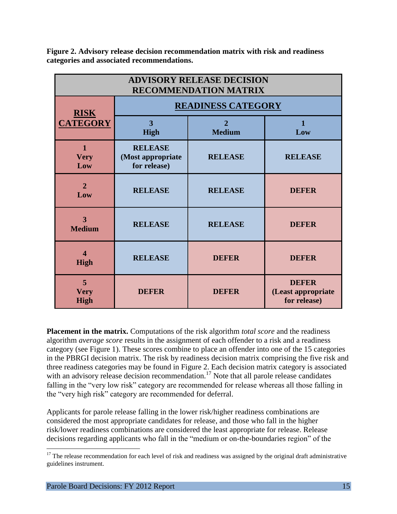**Figure 2. Advisory release decision recommendation matrix with risk and readiness categories and associated recommendations.**

| <b>ADVISORY RELEASE DECISION</b><br><b>RECOMMENDATION MATRIX</b> |                                                     |                                 |                                                    |  |
|------------------------------------------------------------------|-----------------------------------------------------|---------------------------------|----------------------------------------------------|--|
| <b>RISK</b>                                                      | <b>READINESS CATEGORY</b>                           |                                 |                                                    |  |
| <b>CATEGORY</b>                                                  | 3<br><b>High</b>                                    | $\overline{2}$<br><b>Medium</b> | $\mathbf{1}$<br>Low                                |  |
| $\mathbf{1}$<br><b>Very</b><br>Low                               | <b>RELEASE</b><br>(Most appropriate<br>for release) | <b>RELEASE</b>                  | <b>RELEASE</b>                                     |  |
| $\overline{2}$<br>Low                                            | <b>RELEASE</b>                                      | <b>RELEASE</b>                  | <b>DEFER</b>                                       |  |
| 3<br><b>Medium</b>                                               | <b>RELEASE</b>                                      | <b>RELEASE</b>                  | <b>DEFER</b>                                       |  |
| $\boldsymbol{\Delta}$<br><b>High</b>                             | <b>RELEASE</b>                                      | <b>DEFER</b>                    | <b>DEFER</b>                                       |  |
| 5<br><b>Very</b><br><b>High</b>                                  | <b>DEFER</b>                                        | <b>DEFER</b>                    | <b>DEFER</b><br>(Least appropriate<br>for release) |  |

**Placement in the matrix.** Computations of the risk algorithm *total score* and the readiness algorithm *average score* results in the assignment of each offender to a risk and a readiness category (see Figure 1). These scores combine to place an offender into one of the 15 categories in the PBRGI decision matrix. The risk by readiness decision matrix comprising the five risk and three readiness categories may be found in Figure 2. Each decision matrix category is associated with an advisory release decision recommendation.<sup>17</sup> Note that all parole release candidates falling in the "very low risk" category are recommended for release whereas all those falling in the "very high risk" category are recommended for deferral.

Applicants for parole release falling in the lower risk/higher readiness combinations are considered the most appropriate candidates for release, and those who fall in the higher risk/lower readiness combinations are considered the least appropriate for release. Release decisions regarding applicants who fall in the "medium or on-the-boundaries region" of the

 $17$  The release recommendation for each level of risk and readiness was assigned by the original draft administrative guidelines instrument.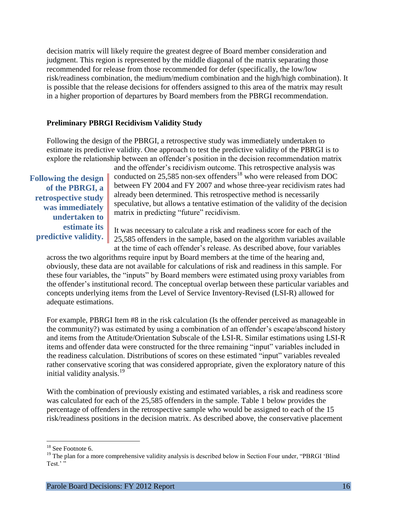decision matrix will likely require the greatest degree of Board member consideration and judgment. This region is represented by the middle diagonal of the matrix separating those recommended for release from those recommended for defer (specifically, the low/low risk/readiness combination, the medium/medium combination and the high/high combination). It is possible that the release decisions for offenders assigned to this area of the matrix may result in a higher proportion of departures by Board members from the PBRGI recommendation.

### **Preliminary PBRGI Recidivism Validity Study**

Following the design of the PBRGI, a retrospective study was immediately undertaken to estimate its predictive validity. One approach to test the predictive validity of the PBRGI is to explore the relationship between an offender's position in the decision recommendation matrix

**Following the design of the PBRGI, a retrospective study was immediately undertaken to estimate its predictive validity.** and the offender's recidivism outcome. This retrospective analysis was conducted on 25,585 non-sex offenders<sup>18</sup> who were released from DOC between FY 2004 and FY 2007 and whose three-year recidivism rates had already been determined. This retrospective method is necessarily speculative, but allows a tentative estimation of the validity of the decision matrix in predicting "future" recidivism.

It was necessary to calculate a risk and readiness score for each of the 25,585 offenders in the sample, based on the algorithm variables available at the time of each offender's release. As described above, four variables

across the two algorithms require input by Board members at the time of the hearing and, obviously, these data are not available for calculations of risk and readiness in this sample. For these four variables, the "inputs" by Board members were estimated using proxy variables from the offender's institutional record. The conceptual overlap between these particular variables and concepts underlying items from the Level of Service Inventory-Revised (LSI-R) allowed for adequate estimations.

For example, PBRGI Item #8 in the risk calculation (Is the offender perceived as manageable in the community?) was estimated by using a combination of an offender's escape/abscond history and items from the Attitude/Orientation Subscale of the LSI-R. Similar estimations using LSI-R items and offender data were constructed for the three remaining "input" variables included in the readiness calculation. Distributions of scores on these estimated "input" variables revealed rather conservative scoring that was considered appropriate, given the exploratory nature of this initial validity analysis.<sup>19</sup>

With the combination of previously existing and estimated variables, a risk and readiness score was calculated for each of the 25,585 offenders in the sample. Table 1 below provides the percentage of offenders in the retrospective sample who would be assigned to each of the 15 risk/readiness positions in the decision matrix. As described above, the conservative placement

<sup>&</sup>lt;sup>18</sup> See Footnote 6.

<sup>&</sup>lt;sup>19</sup> The plan for a more comprehensive validity analysis is described below in Section Four under, "PBRGI 'Blind Test.'"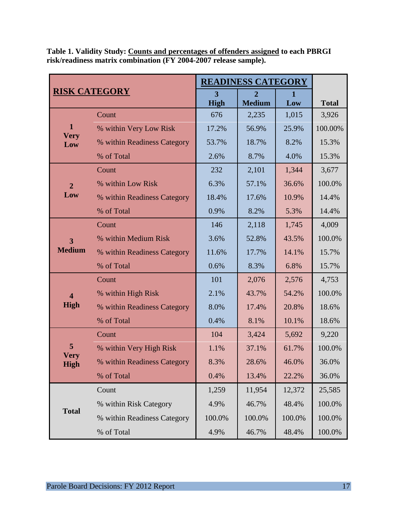| <b>RISK CATEGORY</b>       |                             | <b>READINESS CATEGORY</b> |                    |        |              |
|----------------------------|-----------------------------|---------------------------|--------------------|--------|--------------|
|                            |                             | 3<br><b>High</b>          | 2<br><b>Medium</b> | Low    | <b>Total</b> |
|                            | Count                       | 676                       | 2,235              | 1,015  | 3,926        |
| $\mathbf{1}$               | % within Very Low Risk      | 17.2%                     | 56.9%              | 25.9%  | 100.00%      |
| <b>Very</b><br>Low         | % within Readiness Category | 53.7%                     | 18.7%              | 8.2%   | 15.3%        |
|                            | % of Total                  | 2.6%                      | 8.7%               | 4.0%   | 15.3%        |
|                            | Count                       | 232                       | 2,101              | 1,344  | 3,677        |
| $\overline{2}$             | % within Low Risk           | 6.3%                      | 57.1%              | 36.6%  | 100.0%       |
| Low                        | % within Readiness Category | 18.4%                     | 17.6%              | 10.9%  | 14.4%        |
|                            | % of Total                  | 0.9%                      | 8.2%               | 5.3%   | 14.4%        |
|                            | Count                       | 146                       | 2,118              | 1,745  | 4,009        |
| 3                          | % within Medium Risk        | 3.6%                      | 52.8%              | 43.5%  | 100.0%       |
| <b>Medium</b>              | % within Readiness Category | 11.6%                     | 17.7%              | 14.1%  | 15.7%        |
|                            | % of Total                  | 0.6%                      | 8.3%               | 6.8%   | 15.7%        |
|                            | Count                       | 101                       | 2,076              | 2,576  | 4,753        |
| $\overline{\mathbf{4}}$    | % within High Risk          | 2.1%                      | 43.7%              | 54.2%  | 100.0%       |
| <b>High</b>                | % within Readiness Category | 8.0%                      | 17.4%              | 20.8%  | 18.6%        |
|                            | % of Total                  | 0.4%                      | 8.1%               | 10.1%  | 18.6%        |
|                            | Count                       | 104                       | 3,424              | 5,692  | 9,220        |
| 5                          | % within Very High Risk     | 1.1%                      | 37.1%              | 61.7%  | 100.0%       |
| <b>Very</b><br><b>High</b> | % within Readiness Category | 8.3%                      | 28.6%              | 46.0%  | 36.0%        |
|                            | % of Total                  | 0.4%                      | 13.4%              | 22.2%  | 36.0%        |
|                            | Count                       | 1,259                     | 11,954             | 12,372 | 25,585       |
|                            | % within Risk Category      | 4.9%                      | 46.7%              | 48.4%  | 100.0%       |
| <b>Total</b>               | % within Readiness Category | 100.0%                    | 100.0%             | 100.0% | 100.0%       |
|                            | % of Total                  | 4.9%                      | 46.7%              | 48.4%  | 100.0%       |

**Table 1. Validity Study: Counts and percentages of offenders assigned to each PBRGI risk/readiness matrix combination (FY 2004-2007 release sample).**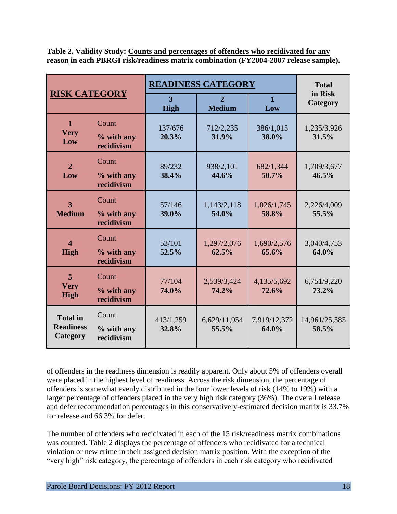**Table 2. Validity Study: Counts and percentages of offenders who recidivated for any reason in each PBRGI risk/readiness matrix combination (FY2004-2007 release sample).**

| <b>RISK CATEGORY</b>                            |                                     | <b>READINESS CATEGORY</b> |                                 |                       | <b>Total</b>           |
|-------------------------------------------------|-------------------------------------|---------------------------|---------------------------------|-----------------------|------------------------|
|                                                 |                                     | 3<br><b>High</b>          | $\overline{2}$<br><b>Medium</b> | $\mathbf{1}$<br>Low   | in Risk<br>Category    |
| $\mathbf{1}$<br><b>Very</b><br>Low              | Count<br>% with any<br>recidivism   | 137/676<br>20.3%          | 712/2,235<br>31.9%              | 386/1,015<br>38.0%    | 1,235/3,926<br>31.5%   |
| $\overline{2}$<br>Low                           | Count<br>% with any<br>recidivism   | 89/232<br>38.4%           | 938/2,101<br>44.6%              | 682/1,344<br>50.7%    | 1,709/3,677<br>46.5%   |
| 3<br><b>Medium</b>                              | Count<br>% with any<br>recidivism   | 57/146<br>39.0%           | 1,143/2,118<br>54.0%            | 1,026/1,745<br>58.8%  | 2,226/4,009<br>55.5%   |
| $\boldsymbol{\Delta}$<br><b>High</b>            | Count<br>% with any<br>recidivism   | 53/101<br>52.5%           | 1,297/2,076<br>62.5%            | 1,690/2,576<br>65.6%  | 3,040/4,753<br>64.0%   |
| 5<br><b>Very</b><br>High                        | Count<br>% with any<br>recidivism   | 77/104<br>74.0%           | 2,539/3,424<br>74.2%            | 4,135/5,692<br>72.6%  | 6,751/9,220<br>73.2%   |
| <b>Total</b> in<br><b>Readiness</b><br>Category | Count<br>$%$ with any<br>recidivism | 413/1,259<br>32.8%        | 6,629/11,954<br>55.5%           | 7,919/12,372<br>64.0% | 14,961/25,585<br>58.5% |

of offenders in the readiness dimension is readily apparent. Only about 5% of offenders overall were placed in the highest level of readiness. Across the risk dimension, the percentage of offenders is somewhat evenly distributed in the four lower levels of risk (14% to 19%) with a larger percentage of offenders placed in the very high risk category (36%). The overall release and defer recommendation percentages in this conservatively-estimated decision matrix is 33.7% for release and 66.3% for defer.

The number of offenders who recidivated in each of the 15 risk/readiness matrix combinations was counted. Table 2 displays the percentage of offenders who recidivated for a technical violation or new crime in their assigned decision matrix position. With the exception of the "very high" risk category, the percentage of offenders in each risk category who recidivated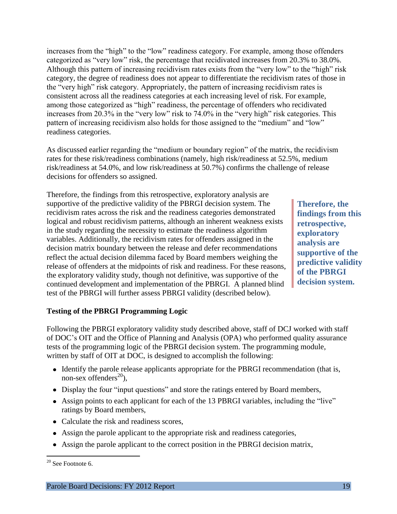increases from the "high" to the "low" readiness category. For example, among those offenders categorized as "very low" risk, the percentage that recidivated increases from 20.3% to 38.0%. Although this pattern of increasing recidivism rates exists from the "very low" to the "high" risk category, the degree of readiness does not appear to differentiate the recidivism rates of those in the "very high" risk category. Appropriately, the pattern of increasing recidivism rates is consistent across all the readiness categories at each increasing level of risk. For example, among those categorized as "high" readiness, the percentage of offenders who recidivated increases from 20.3% in the "very low" risk to 74.0% in the "very high" risk categories. This pattern of increasing recidivism also holds for those assigned to the "medium" and "low" readiness categories.

As discussed earlier regarding the "medium or boundary region" of the matrix, the recidivism rates for these risk/readiness combinations (namely, high risk/readiness at 52.5%, medium risk/readiness at 54.0%, and low risk/readiness at 50.7%) confirms the challenge of release decisions for offenders so assigned.

Therefore, the findings from this retrospective, exploratory analysis are supportive of the predictive validity of the PBRGI decision system. The recidivism rates across the risk and the readiness categories demonstrated logical and robust recidivism patterns, although an inherent weakness exists in the study regarding the necessity to estimate the readiness algorithm variables. Additionally, the recidivism rates for offenders assigned in the decision matrix boundary between the release and defer recommendations reflect the actual decision dilemma faced by Board members weighing the release of offenders at the midpoints of risk and readiness. For these reasons, the exploratory validity study, though not definitive, was supportive of the continued development and implementation of the PBRGI. A planned blind test of the PBRGI will further assess PBRGI validity (described below).

**Therefore, the findings from this retrospective, exploratory analysis are supportive of the predictive validity of the PBRGI decision system.**

### **Testing of the PBRGI Programming Logic**

Following the PBRGI exploratory validity study described above, staff of DCJ worked with staff of DOC's OIT and the Office of Planning and Analysis (OPA) who performed quality assurance tests of the programming logic of the PBRGI decision system. The programming module, written by staff of OIT at DOC, is designed to accomplish the following:

- Identify the parole release applicants appropriate for the PBRGI recommendation (that is, non-sex offenders<sup>20</sup>),
- Display the four "input questions" and store the ratings entered by Board members,
- Assign points to each applicant for each of the 13 PBRGI variables, including the "live" ratings by Board members,
- Calculate the risk and readiness scores,
- Assign the parole applicant to the appropriate risk and readiness categories,
- Assign the parole applicant to the correct position in the PBRGI decision matrix,

 $20$  See Footnote 6.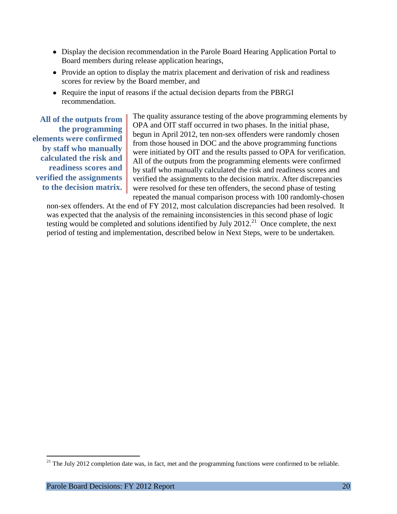- Display the decision recommendation in the Parole Board Hearing Application Portal to Board members during release application hearings,
- Provide an option to display the matrix placement and derivation of risk and readiness scores for review by the Board member, and
- Require the input of reasons if the actual decision departs from the PBRGI recommendation.

**All of the outputs from the programming elements were confirmed by staff who manually calculated the risk and readiness scores and verified the assignments to the decision matrix.** The quality assurance testing of the above programming elements by OPA and OIT staff occurred in two phases. In the initial phase, begun in April 2012, ten non-sex offenders were randomly chosen from those housed in DOC and the above programming functions were initiated by OIT and the results passed to OPA for verification. All of the outputs from the programming elements were confirmed by staff who manually calculated the risk and readiness scores and verified the assignments to the decision matrix. After discrepancies were resolved for these ten offenders, the second phase of testing repeated the manual comparison process with 100 randomly-chosen

non-sex offenders. At the end of FY 2012, most calculation discrepancies had been resolved. It was expected that the analysis of the remaining inconsistencies in this second phase of logic testing would be completed and solutions identified by July  $2012$ <sup>21</sup> Once complete, the next period of testing and implementation, described below in Next Steps, were to be undertaken.

 $21$  The July 2012 completion date was, in fact, met and the programming functions were confirmed to be reliable.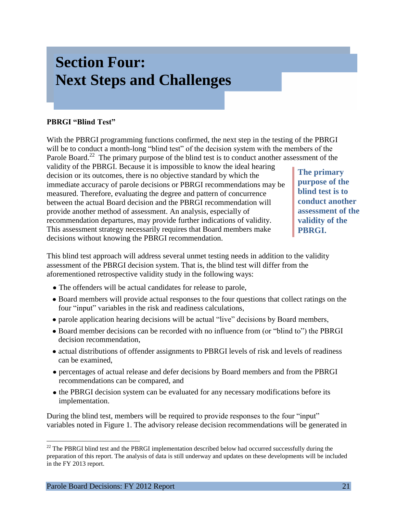## **Section Four: Next Steps and Challenges**

### **PBRGI "Blind Test"**

With the PBRGI programming functions confirmed, the next step in the testing of the PBRGI will be to conduct a month-long "blind test" of the decision system with the members of the Parole Board.<sup>22</sup> The primary purpose of the blind test is to conduct another assessment of the

validity of the PBRGI. Because it is impossible to know the ideal hearing decision or its outcomes, there is no objective standard by which the immediate accuracy of parole decisions or PBRGI recommendations may be measured. Therefore, evaluating the degree and pattern of concurrence between the actual Board decision and the PBRGI recommendation will provide another method of assessment. An analysis, especially of recommendation departures, may provide further indications of validity. This assessment strategy necessarily requires that Board members make decisions without knowing the PBRGI recommendation.

**The primary purpose of the blind test is to conduct another assessment of the validity of the PBRGI.**

This blind test approach will address several unmet testing needs in addition to the validity assessment of the PBRGI decision system. That is, the blind test will differ from the aforementioned retrospective validity study in the following ways:

- The offenders will be actual candidates for release to parole,
- Board members will provide actual responses to the four questions that collect ratings on the four "input" variables in the risk and readiness calculations,
- parole application hearing decisions will be actual "live" decisions by Board members,
- Board member decisions can be recorded with no influence from (or "blind to") the PBRGI decision recommendation,
- actual distributions of offender assignments to PBRGI levels of risk and levels of readiness can be examined,
- percentages of actual release and defer decisions by Board members and from the PBRGI recommendations can be compared, and
- the PBRGI decision system can be evaluated for any necessary modifications before its implementation.

During the blind test, members will be required to provide responses to the four "input" variables noted in Figure 1. The advisory release decision recommendations will be generated in

<sup>&</sup>lt;sup>22</sup> The PBRGI blind test and the PBRGI implementation described below had occurred successfully during the preparation of this report. The analysis of data is still underway and updates on these developments will be included in the FY 2013 report.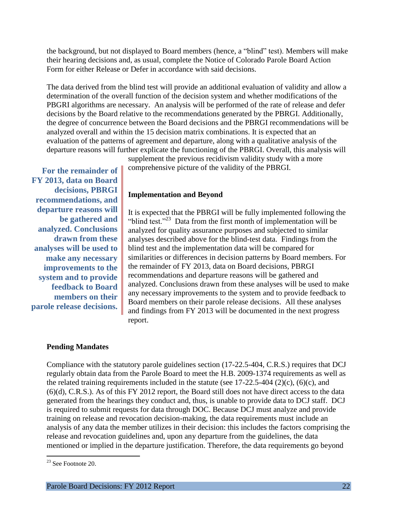the background, but not displayed to Board members (hence, a "blind" test). Members will make their hearing decisions and, as usual, complete the Notice of Colorado Parole Board Action Form for either Release or Defer in accordance with said decisions.

The data derived from the blind test will provide an additional evaluation of validity and allow a determination of the overall function of the decision system and whether modifications of the PBGRI algorithms are necessary. An analysis will be performed of the rate of release and defer decisions by the Board relative to the recommendations generated by the PBRGI. Additionally, the degree of concurrence between the Board decisions and the PBRGI recommendations will be analyzed overall and within the 15 decision matrix combinations. It is expected that an evaluation of the patterns of agreement and departure, along with a qualitative analysis of the departure reasons will further explicate the functioning of the PBRGI. Overall, this analysis will

supplement the previous recidivism validity study with a more comprehensive picture of the validity of the PBRGI.

**For the remainder of FY 2013, data on Board decisions, PBRGI recommendations, and departure reasons will be gathered and analyzed. Conclusions drawn from these analyses will be used to make any necessary improvements to the system and to provide feedback to Board members on their parole release decisions.** 

### **Implementation and Beyond**

It is expected that the PBRGI will be fully implemented following the "blind test."<sup>23</sup> Data from the first month of implementation will be analyzed for quality assurance purposes and subjected to similar analyses described above for the blind-test data. Findings from the blind test and the implementation data will be compared for similarities or differences in decision patterns by Board members. For the remainder of FY 2013, data on Board decisions, PBRGI recommendations and departure reasons will be gathered and analyzed. Conclusions drawn from these analyses will be used to make any necessary improvements to the system and to provide feedback to Board members on their parole release decisions. All these analyses and findings from FY 2013 will be documented in the next progress report.

#### **Pending Mandates**

Compliance with the statutory parole guidelines section (17-22.5-404, C.R.S.) requires that DCJ regularly obtain data from the Parole Board to meet the H.B. 2009-1374 requirements as well as the related training requirements included in the statute (see  $17-22.5-404$   $(2)(c)$ ,  $(6)(c)$ , and (6)(d), C.R.S.). As of this FY 2012 report, the Board still does not have direct access to the data generated from the hearings they conduct and, thus, is unable to provide data to DCJ staff. DCJ is required to submit requests for data through DOC. Because DCJ must analyze and provide training on release and revocation decision-making, the data requirements must include an analysis of any data the member utilizes in their decision: this includes the factors comprising the release and revocation guidelines and, upon any departure from the guidelines, the data mentioned or implied in the departure justification. Therefore, the data requirements go beyond

 $23$  See Footnote 20.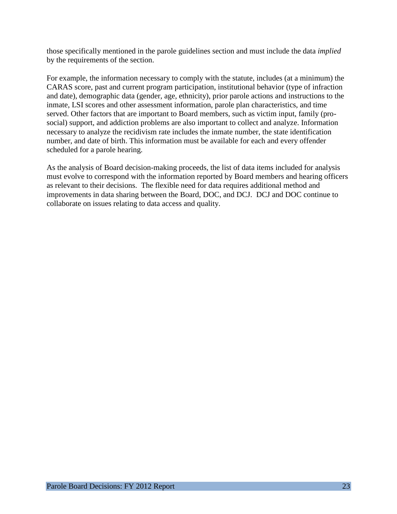those specifically mentioned in the parole guidelines section and must include the data *implied* by the requirements of the section.

For example, the information necessary to comply with the statute, includes (at a minimum) the CARAS score, past and current program participation, institutional behavior (type of infraction and date), demographic data (gender, age, ethnicity), prior parole actions and instructions to the inmate, LSI scores and other assessment information, parole plan characteristics, and time served. Other factors that are important to Board members, such as victim input, family (prosocial) support, and addiction problems are also important to collect and analyze. Information necessary to analyze the recidivism rate includes the inmate number, the state identification number, and date of birth. This information must be available for each and every offender scheduled for a parole hearing.

As the analysis of Board decision-making proceeds, the list of data items included for analysis must evolve to correspond with the information reported by Board members and hearing officers as relevant to their decisions. The flexible need for data requires additional method and improvements in data sharing between the Board, DOC, and DCJ. DCJ and DOC continue to collaborate on issues relating to data access and quality.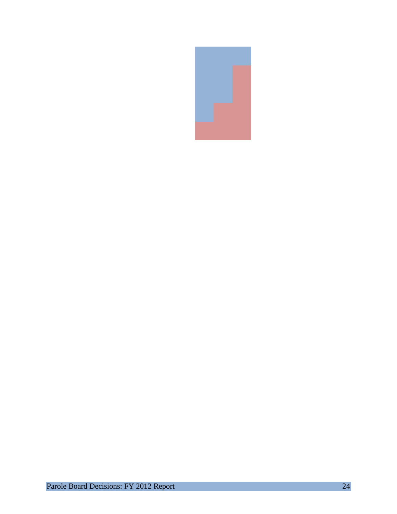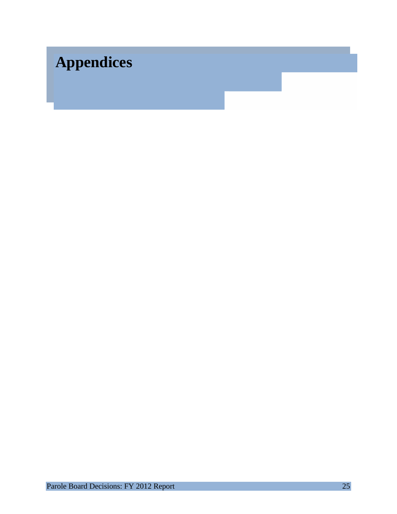# **Appendices**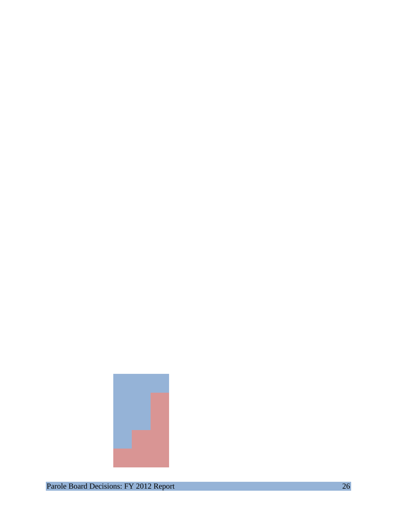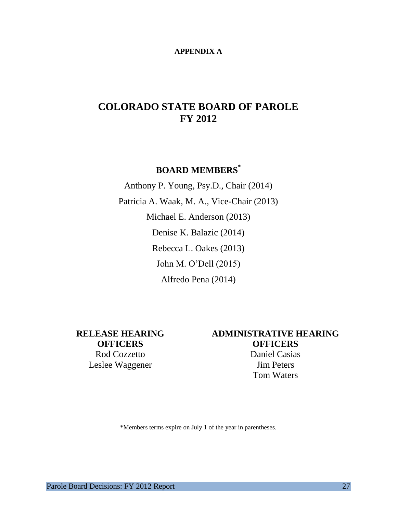### **APPENDIX A**

## **COLORADO STATE BOARD OF PAROLE FY 2012**

## **BOARD MEMBERS\***

Anthony P. Young, Psy.D., Chair (2014) Patricia A. Waak, M. A., Vice-Chair (2013) Michael E. Anderson (2013) Denise K. Balazic (2014) Rebecca L. Oakes (2013) John M. O'Dell (2015) Alfredo Pena (2014)

**RELEASE HEARING OFFICERS** Rod Cozzetto Leslee Waggener

## **ADMINISTRATIVE HEARING OFFICERS** Daniel Casias Jim Peters Tom Waters

\*Members terms expire on July 1 of the year in parentheses.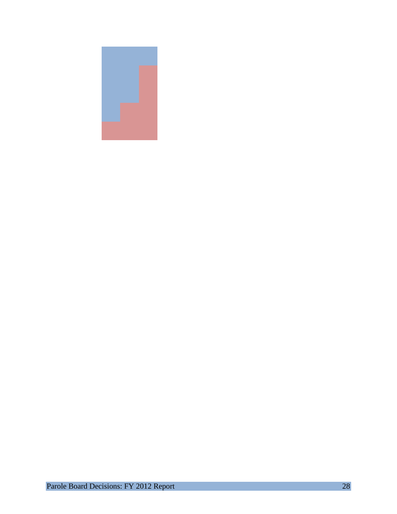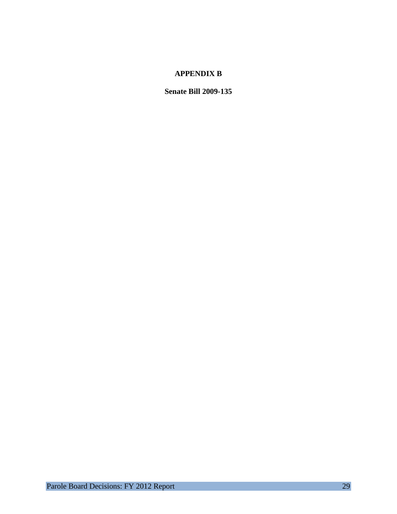### **APPENDIX B**

## **Senate Bill 2009-135**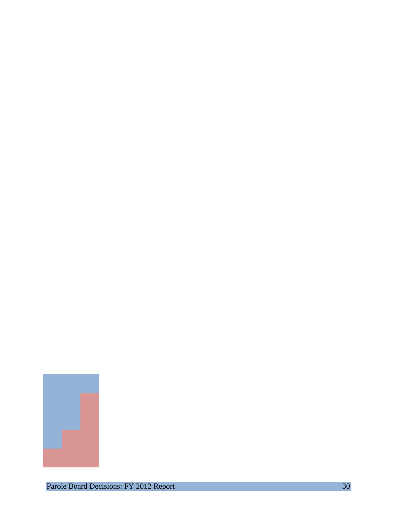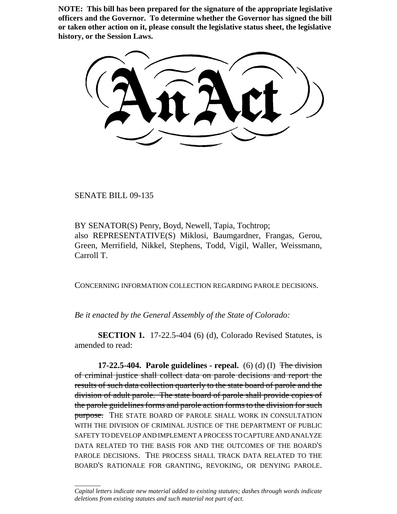**NOTE: This bill has been prepared for the signature of the appropriate legislative officers and the Governor. To determine whether the Governor has signed the bill or taken other action on it, please consult the legislative status sheet, the legislative history, or the Session Laws.**

SENATE BILL 09-135

\_\_\_\_\_\_\_\_

BY SENATOR(S) Penry, Boyd, Newell, Tapia, Tochtrop; also REPRESENTATIVE(S) Miklosi, Baumgardner, Frangas, Gerou, Green, Merrifield, Nikkel, Stephens, Todd, Vigil, Waller, Weissmann, Carroll T.

CONCERNING INFORMATION COLLECTION REGARDING PAROLE DECISIONS.

*Be it enacted by the General Assembly of the State of Colorado:*

**SECTION 1.** 17-22.5-404 (6) (d), Colorado Revised Statutes, is amended to read:

**17-22.5-404. Parole guidelines - repeal.** (6) (d) (I) The division of criminal justice shall collect data on parole decisions and report the results of such data collection quarterly to the state board of parole and the division of adult parole. The state board of parole shall provide copies of the parole guidelines forms and parole action forms to the division for such purpose. THE STATE BOARD OF PAROLE SHALL WORK IN CONSULTATION WITH THE DIVISION OF CRIMINAL JUSTICE OF THE DEPARTMENT OF PUBLIC SAFETY TO DEVELOP AND IMPLEMENT A PROCESS TO CAPTURE AND ANALYZE DATA RELATED TO THE BASIS FOR AND THE OUTCOMES OF THE BOARD'S PAROLE DECISIONS. THE PROCESS SHALL TRACK DATA RELATED TO THE BOARD'S RATIONALE FOR GRANTING, REVOKING, OR DENYING PAROLE.

*Capital letters indicate new material added to existing statutes; dashes through words indicate deletions from existing statutes and such material not part of act.*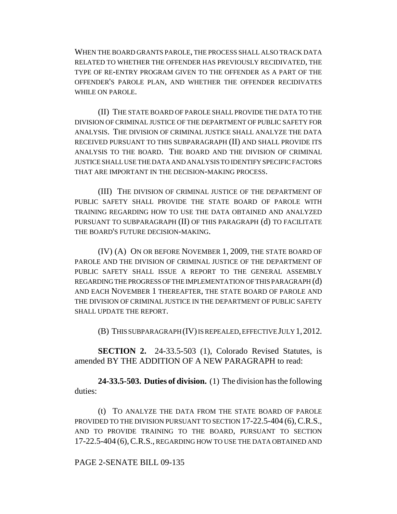WHEN THE BOARD GRANTS PAROLE, THE PROCESS SHALL ALSO TRACK DATA RELATED TO WHETHER THE OFFENDER HAS PREVIOUSLY RECIDIVATED, THE TYPE OF RE-ENTRY PROGRAM GIVEN TO THE OFFENDER AS A PART OF THE OFFENDER'S PAROLE PLAN, AND WHETHER THE OFFENDER RECIDIVATES WHILE ON PAROLE.

(II) THE STATE BOARD OF PAROLE SHALL PROVIDE THE DATA TO THE DIVISION OF CRIMINAL JUSTICE OF THE DEPARTMENT OF PUBLIC SAFETY FOR ANALYSIS. THE DIVISION OF CRIMINAL JUSTICE SHALL ANALYZE THE DATA RECEIVED PURSUANT TO THIS SUBPARAGRAPH (II) AND SHALL PROVIDE ITS ANALYSIS TO THE BOARD. THE BOARD AND THE DIVISION OF CRIMINAL JUSTICE SHALL USE THE DATA AND ANALYSIS TO IDENTIFY SPECIFIC FACTORS THAT ARE IMPORTANT IN THE DECISION-MAKING PROCESS.

(III) THE DIVISION OF CRIMINAL JUSTICE OF THE DEPARTMENT OF PUBLIC SAFETY SHALL PROVIDE THE STATE BOARD OF PAROLE WITH TRAINING REGARDING HOW TO USE THE DATA OBTAINED AND ANALYZED PURSUANT TO SUBPARAGRAPH (II) OF THIS PARAGRAPH (d) TO FACILITATE THE BOARD'S FUTURE DECISION-MAKING.

(IV) (A) ON OR BEFORE NOVEMBER 1, 2009, THE STATE BOARD OF PAROLE AND THE DIVISION OF CRIMINAL JUSTICE OF THE DEPARTMENT OF PUBLIC SAFETY SHALL ISSUE A REPORT TO THE GENERAL ASSEMBLY REGARDING THE PROGRESS OF THE IMPLEMENTATION OF THIS PARAGRAPH (d) AND EACH NOVEMBER 1 THEREAFTER, THE STATE BOARD OF PAROLE AND THE DIVISION OF CRIMINAL JUSTICE IN THE DEPARTMENT OF PUBLIC SAFETY SHALL UPDATE THE REPORT.

(B) THIS SUBPARAGRAPH (IV) IS REPEALED, EFFECTIVE JULY 1,2012.

**SECTION 2.** 24-33.5-503 (1), Colorado Revised Statutes, is amended BY THE ADDITION OF A NEW PARAGRAPH to read:

**24-33.5-503. Duties of division.** (1) The division has the following duties:

(t) TO ANALYZE THE DATA FROM THE STATE BOARD OF PAROLE PROVIDED TO THE DIVISION PURSUANT TO SECTION 17-22.5-404 (6), C.R.S., AND TO PROVIDE TRAINING TO THE BOARD, PURSUANT TO SECTION 17-22.5-404 (6),C.R.S., REGARDING HOW TO USE THE DATA OBTAINED AND

### PAGE 2-SENATE BILL 09-135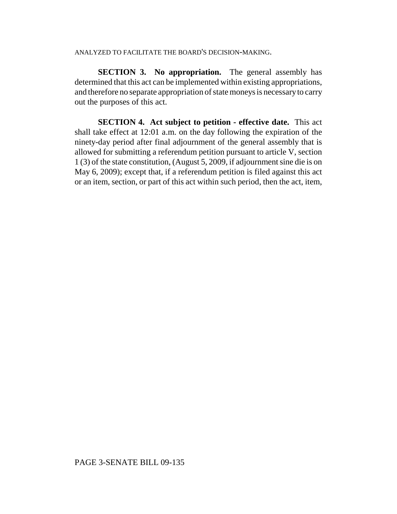### ANALYZED TO FACILITATE THE BOARD'S DECISION-MAKING.

**SECTION 3. No appropriation.** The general assembly has determined that this act can be implemented within existing appropriations, and therefore no separate appropriation of state moneys is necessary to carry out the purposes of this act.

**SECTION 4. Act subject to petition - effective date.** This act shall take effect at 12:01 a.m. on the day following the expiration of the ninety-day period after final adjournment of the general assembly that is allowed for submitting a referendum petition pursuant to article V, section 1 (3) of the state constitution, (August 5, 2009, if adjournment sine die is on May 6, 2009); except that, if a referendum petition is filed against this act or an item, section, or part of this act within such period, then the act, item,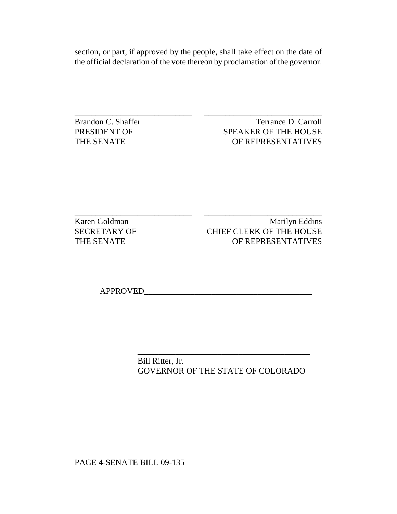section, or part, if approved by the people, shall take effect on the date of the official declaration of the vote thereon by proclamation of the governor.

\_\_\_\_\_\_\_\_\_\_\_\_\_\_\_\_\_\_\_\_\_\_\_\_\_\_\_\_ \_\_\_\_\_\_\_\_\_\_\_\_\_\_\_\_\_\_\_\_\_\_\_\_\_\_\_\_

\_\_\_\_\_\_\_\_\_\_\_\_\_\_\_\_\_\_\_\_\_\_\_\_\_\_\_\_ \_\_\_\_\_\_\_\_\_\_\_\_\_\_\_\_\_\_\_\_\_\_\_\_\_\_\_\_

Brandon C. Shaffer Terrance D. Carroll PRESIDENT OF SPEAKER OF THE HOUSE THE SENATE OF REPRESENTATIVES

Karen Goldman Marilyn Eddins SECRETARY OF CHIEF CLERK OF THE HOUSE THE SENATE OF REPRESENTATIVES

APPROVED\_\_\_\_\_\_\_\_\_\_\_\_\_\_\_\_\_\_\_\_\_\_\_\_\_\_\_\_\_\_\_\_\_\_\_\_\_\_\_\_

 Bill Ritter, Jr. GOVERNOR OF THE STATE OF COLORADO

 $\frac{1}{\sqrt{2}}$  ,  $\frac{1}{\sqrt{2}}$  ,  $\frac{1}{\sqrt{2}}$  ,  $\frac{1}{\sqrt{2}}$  ,  $\frac{1}{\sqrt{2}}$  ,  $\frac{1}{\sqrt{2}}$  ,  $\frac{1}{\sqrt{2}}$  ,  $\frac{1}{\sqrt{2}}$  ,  $\frac{1}{\sqrt{2}}$  ,  $\frac{1}{\sqrt{2}}$  ,  $\frac{1}{\sqrt{2}}$  ,  $\frac{1}{\sqrt{2}}$  ,  $\frac{1}{\sqrt{2}}$  ,  $\frac{1}{\sqrt{2}}$  ,  $\frac{1}{\sqrt{2}}$ 

PAGE 4-SENATE BILL 09-135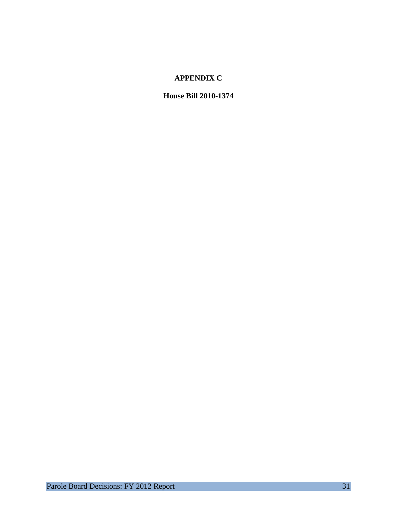## **APPENDIX C**

## **House Bill 2010-1374**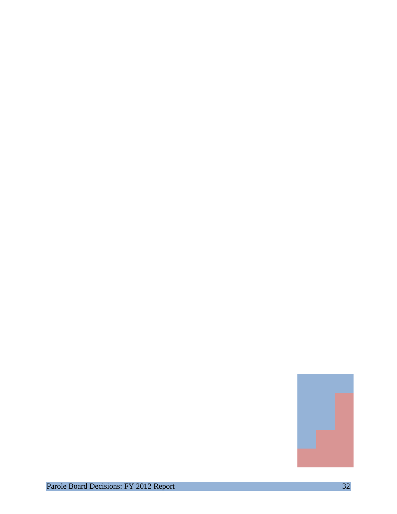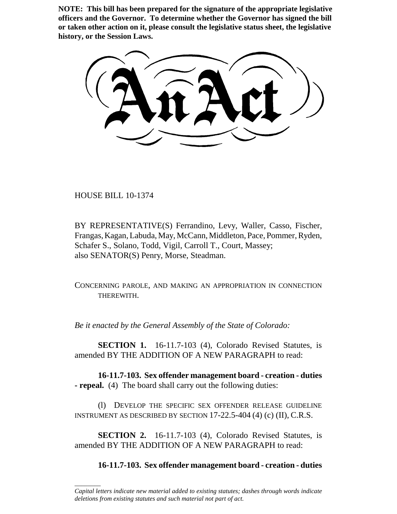**NOTE: This bill has been prepared for the signature of the appropriate legislative officers and the Governor. To determine whether the Governor has signed the bill or taken other action on it, please consult the legislative status sheet, the legislative history, or the Session Laws.**

HOUSE BILL 10-1374

\_\_\_\_\_\_\_\_

BY REPRESENTATIVE(S) Ferrandino, Levy, Waller, Casso, Fischer, Frangas, Kagan, Labuda, May, McCann, Middleton, Pace, Pommer, Ryden, Schafer S., Solano, Todd, Vigil, Carroll T., Court, Massey; also SENATOR(S) Penry, Morse, Steadman.

CONCERNING PAROLE, AND MAKING AN APPROPRIATION IN CONNECTION THEREWITH.

*Be it enacted by the General Assembly of the State of Colorado:*

**SECTION 1.** 16-11.7-103 (4), Colorado Revised Statutes, is amended BY THE ADDITION OF A NEW PARAGRAPH to read:

**16-11.7-103. Sex offender management board - creation - duties - repeal.** (4) The board shall carry out the following duties:

(l) DEVELOP THE SPECIFIC SEX OFFENDER RELEASE GUIDELINE INSTRUMENT AS DESCRIBED BY SECTION 17-22.5-404 (4) (c) (II), C.R.S.

**SECTION 2.** 16-11.7-103 (4), Colorado Revised Statutes, is amended BY THE ADDITION OF A NEW PARAGRAPH to read:

**16-11.7-103. Sex offender management board - creation - duties**

*Capital letters indicate new material added to existing statutes; dashes through words indicate deletions from existing statutes and such material not part of act.*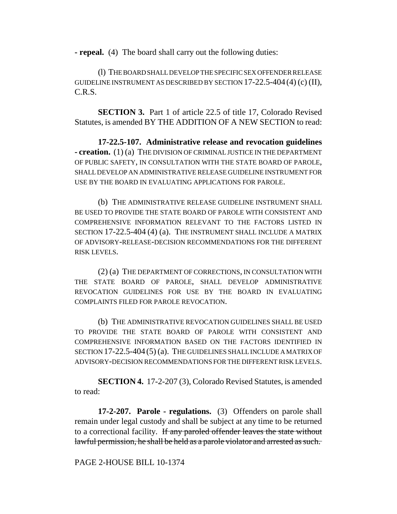**- repeal.** (4) The board shall carry out the following duties:

(l) THE BOARD SHALL DEVELOP THE SPECIFIC SEX OFFENDER RELEASE GUIDELINE INSTRUMENT AS DESCRIBED BY SECTION 17-22.5-404 (4) (c) (II), C.R.S.

**SECTION 3.** Part 1 of article 22.5 of title 17, Colorado Revised Statutes, is amended BY THE ADDITION OF A NEW SECTION to read:

**17-22.5-107. Administrative release and revocation guidelines - creation.** (1) (a) THE DIVISION OF CRIMINAL JUSTICE IN THE DEPARTMENT OF PUBLIC SAFETY, IN CONSULTATION WITH THE STATE BOARD OF PAROLE, SHALL DEVELOP AN ADMINISTRATIVE RELEASE GUIDELINE INSTRUMENT FOR USE BY THE BOARD IN EVALUATING APPLICATIONS FOR PAROLE.

(b) THE ADMINISTRATIVE RELEASE GUIDELINE INSTRUMENT SHALL BE USED TO PROVIDE THE STATE BOARD OF PAROLE WITH CONSISTENT AND COMPREHENSIVE INFORMATION RELEVANT TO THE FACTORS LISTED IN SECTION 17-22.5-404 (4) (a). THE INSTRUMENT SHALL INCLUDE A MATRIX OF ADVISORY-RELEASE-DECISION RECOMMENDATIONS FOR THE DIFFERENT RISK LEVELS.

(2) (a) THE DEPARTMENT OF CORRECTIONS, IN CONSULTATION WITH THE STATE BOARD OF PAROLE, SHALL DEVELOP ADMINISTRATIVE REVOCATION GUIDELINES FOR USE BY THE BOARD IN EVALUATING COMPLAINTS FILED FOR PAROLE REVOCATION.

(b) THE ADMINISTRATIVE REVOCATION GUIDELINES SHALL BE USED TO PROVIDE THE STATE BOARD OF PAROLE WITH CONSISTENT AND COMPREHENSIVE INFORMATION BASED ON THE FACTORS IDENTIFIED IN SECTION 17-22.5-404 (5) (a). THE GUIDELINES SHALL INCLUDE A MATRIX OF ADVISORY-DECISION RECOMMENDATIONS FOR THE DIFFERENT RISK LEVELS.

**SECTION 4.** 17-2-207 (3), Colorado Revised Statutes, is amended to read:

**17-2-207. Parole - regulations.** (3) Offenders on parole shall remain under legal custody and shall be subject at any time to be returned to a correctional facility. If any paroled offender leaves the state without lawful permission, he shall be held as a parole violator and arrested as such.

### PAGE 2-HOUSE BILL 10-1374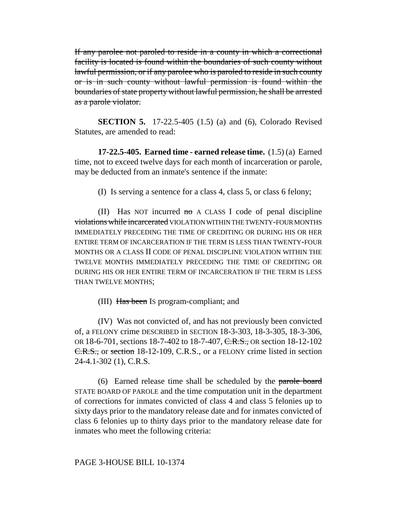If any parolee not paroled to reside in a county in which a correctional facility is located is found within the boundaries of such county without lawful permission, or if any parolee who is paroled to reside in such county or is in such county without lawful permission is found within the boundaries of state property without lawful permission, he shall be arrested as a parole violator.

**SECTION 5.** 17-22.5-405 (1.5) (a) and (6), Colorado Revised Statutes, are amended to read:

**17-22.5-405. Earned time - earned release time.** (1.5) (a) Earned time, not to exceed twelve days for each month of incarceration or parole, may be deducted from an inmate's sentence if the inmate:

(I) Is serving a sentence for a class 4, class 5, or class 6 felony;

(II) Has NOT incurred  $m\sigma$  A CLASS I code of penal discipline violations while incarcerated VIOLATION WITHIN THE TWENTY-FOUR MONTHS IMMEDIATELY PRECEDING THE TIME OF CREDITING OR DURING HIS OR HER ENTIRE TERM OF INCARCERATION IF THE TERM IS LESS THAN TWENTY-FOUR MONTHS OR A CLASS II CODE OF PENAL DISCIPLINE VIOLATION WITHIN THE TWELVE MONTHS IMMEDIATELY PRECEDING THE TIME OF CREDITING OR DURING HIS OR HER ENTIRE TERM OF INCARCERATION IF THE TERM IS LESS THAN TWELVE MONTHS;

(III) Has been IS program-compliant; and

(IV) Was not convicted of, and has not previously been convicted of, a FELONY crime DESCRIBED in SECTION 18-3-303, 18-3-305, 18-3-306, OR 18-6-701, sections 18-7-402 to 18-7-407, C.R.S., OR section 18-12-102 C.R.S., or section 18-12-109, C.R.S., or a FELONY crime listed in section 24-4.1-302 (1), C.R.S.

(6) Earned release time shall be scheduled by the parole board STATE BOARD OF PAROLE and the time computation unit in the department of corrections for inmates convicted of class 4 and class 5 felonies up to sixty days prior to the mandatory release date and for inmates convicted of class 6 felonies up to thirty days prior to the mandatory release date for inmates who meet the following criteria:

### PAGE 3-HOUSE BILL 10-1374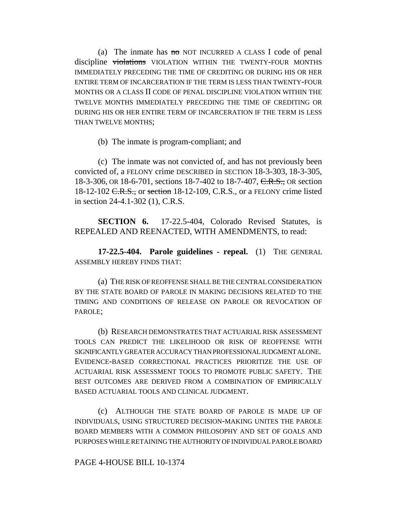(a) The inmate has no NOT INCURRED A CLASS I code of penal discipline violations VIOLATION WITHIN THE TWENTY-FOUR MONTHS IMMEDIATELY PRECEDING THE TIME OF CREDITING OR DURING HIS OR HER ENTIRE TERM OF INCARCERATION IF THE TERM IS LESS THAN TWENTY-FOUR MONTHS OR A CLASS II CODE OF PENAL DISCIPLINE VIOLATION WITHIN THE TWELVE MONTHS IMMEDIATELY PRECEDING THE TIME OF CREDITING OR DURING HIS OR HER ENTIRE TERM OF INCARCERATION IF THE TERM IS LESS THAN TWELVE MONTHS;

(b) The inmate is program-compliant; and

(c) The inmate was not convicted of, and has not previously been convicted of, a FELONY crime DESCRIBED in SECTION 18-3-303, 18-3-305, 18-3-306, OR 18-6-701, sections 18-7-402 to 18-7-407, C.R.S., OR section 18-12-102 C.R.S., or section 18-12-109, C.R.S., or a FELONY crime listed in section 24-4.1-302 (1), C.R.S.

**SECTION 6.** 17-22.5-404, Colorado Revised Statutes, is REPEALED AND REENACTED, WITH AMENDMENTS, to read:

**17-22.5-404. Parole guidelines - repeal.** (1) THE GENERAL ASSEMBLY HEREBY FINDS THAT:

(a) THE RISK OF REOFFENSE SHALL BE THE CENTRAL CONSIDERATION BY THE STATE BOARD OF PAROLE IN MAKING DECISIONS RELATED TO THE TIMING AND CONDITIONS OF RELEASE ON PAROLE OR REVOCATION OF PAROLE;

(b) RESEARCH DEMONSTRATES THAT ACTUARIAL RISK ASSESSMENT TOOLS CAN PREDICT THE LIKELIHOOD OR RISK OF REOFFENSE WITH SIGNIFICANTLY GREATER ACCURACY THAN PROFESSIONAL JUDGMENT ALONE. EVIDENCE-BASED CORRECTIONAL PRACTICES PRIORITIZE THE USE OF ACTUARIAL RISK ASSESSMENT TOOLS TO PROMOTE PUBLIC SAFETY. THE BEST OUTCOMES ARE DERIVED FROM A COMBINATION OF EMPIRICALLY BASED ACTUARIAL TOOLS AND CLINICAL JUDGMENT.

(c) ALTHOUGH THE STATE BOARD OF PAROLE IS MADE UP OF INDIVIDUALS, USING STRUCTURED DECISION-MAKING UNITES THE PAROLE BOARD MEMBERS WITH A COMMON PHILOSOPHY AND SET OF GOALS AND PURPOSES WHILE RETAINING THE AUTHORITY OF INDIVIDUAL PAROLE BOARD

### PAGE 4-HOUSE BILL 10-1374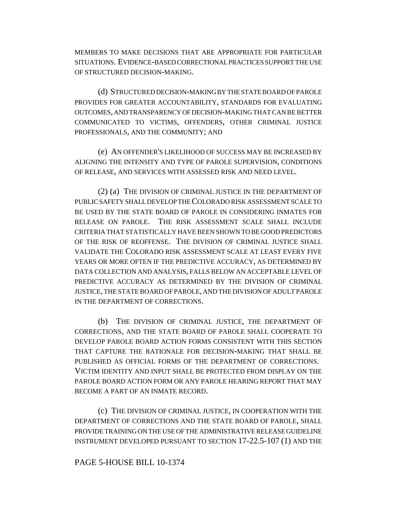MEMBERS TO MAKE DECISIONS THAT ARE APPROPRIATE FOR PARTICULAR SITUATIONS. EVIDENCE-BASED CORRECTIONAL PRACTICES SUPPORT THE USE OF STRUCTURED DECISION-MAKING.

(d) STRUCTURED DECISION-MAKING BY THE STATE BOARD OF PAROLE PROVIDES FOR GREATER ACCOUNTABILITY, STANDARDS FOR EVALUATING OUTCOMES, AND TRANSPARENCY OF DECISION-MAKING THAT CAN BE BETTER COMMUNICATED TO VICTIMS, OFFENDERS, OTHER CRIMINAL JUSTICE PROFESSIONALS, AND THE COMMUNITY; AND

(e) AN OFFENDER'S LIKELIHOOD OF SUCCESS MAY BE INCREASED BY ALIGNING THE INTENSITY AND TYPE OF PAROLE SUPERVISION, CONDITIONS OF RELEASE, AND SERVICES WITH ASSESSED RISK AND NEED LEVEL.

(2) (a) THE DIVISION OF CRIMINAL JUSTICE IN THE DEPARTMENT OF PUBLIC SAFETY SHALL DEVELOP THE COLORADO RISK ASSESSMENT SCALE TO BE USED BY THE STATE BOARD OF PAROLE IN CONSIDERING INMATES FOR RELEASE ON PAROLE. THE RISK ASSESSMENT SCALE SHALL INCLUDE CRITERIA THAT STATISTICALLY HAVE BEEN SHOWN TO BE GOOD PREDICTORS OF THE RISK OF REOFFENSE. THE DIVISION OF CRIMINAL JUSTICE SHALL VALIDATE THE COLORADO RISK ASSESSMENT SCALE AT LEAST EVERY FIVE YEARS OR MORE OFTEN IF THE PREDICTIVE ACCURACY, AS DETERMINED BY DATA COLLECTION AND ANALYSIS, FALLS BELOW AN ACCEPTABLE LEVEL OF PREDICTIVE ACCURACY AS DETERMINED BY THE DIVISION OF CRIMINAL JUSTICE, THE STATE BOARD OF PAROLE, AND THE DIVISION OF ADULT PAROLE IN THE DEPARTMENT OF CORRECTIONS.

(b) THE DIVISION OF CRIMINAL JUSTICE, THE DEPARTMENT OF CORRECTIONS, AND THE STATE BOARD OF PAROLE SHALL COOPERATE TO DEVELOP PAROLE BOARD ACTION FORMS CONSISTENT WITH THIS SECTION THAT CAPTURE THE RATIONALE FOR DECISION-MAKING THAT SHALL BE PUBLISHED AS OFFICIAL FORMS OF THE DEPARTMENT OF CORRECTIONS. VICTIM IDENTITY AND INPUT SHALL BE PROTECTED FROM DISPLAY ON THE PAROLE BOARD ACTION FORM OR ANY PAROLE HEARING REPORT THAT MAY BECOME A PART OF AN INMATE RECORD.

(c) THE DIVISION OF CRIMINAL JUSTICE, IN COOPERATION WITH THE DEPARTMENT OF CORRECTIONS AND THE STATE BOARD OF PAROLE, SHALL PROVIDE TRAINING ON THE USE OF THE ADMINISTRATIVE RELEASE GUIDELINE INSTRUMENT DEVELOPED PURSUANT TO SECTION 17-22.5-107 (1) AND THE

### PAGE 5-HOUSE BILL 10-1374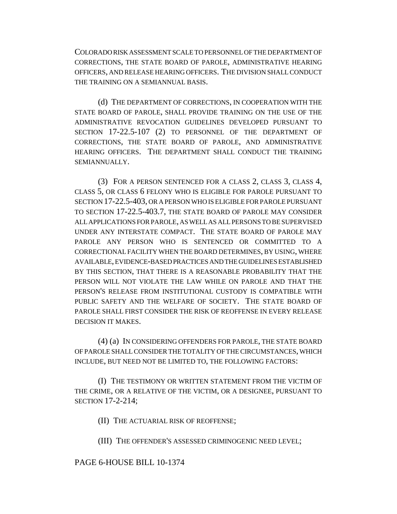COLORADO RISK ASSESSMENT SCALE TO PERSONNEL OF THE DEPARTMENT OF CORRECTIONS, THE STATE BOARD OF PAROLE, ADMINISTRATIVE HEARING OFFICERS, AND RELEASE HEARING OFFICERS. THE DIVISION SHALL CONDUCT THE TRAINING ON A SEMIANNUAL BASIS.

(d) THE DEPARTMENT OF CORRECTIONS, IN COOPERATION WITH THE STATE BOARD OF PAROLE, SHALL PROVIDE TRAINING ON THE USE OF THE ADMINISTRATIVE REVOCATION GUIDELINES DEVELOPED PURSUANT TO SECTION 17-22.5-107 (2) TO PERSONNEL OF THE DEPARTMENT OF CORRECTIONS, THE STATE BOARD OF PAROLE, AND ADMINISTRATIVE HEARING OFFICERS. THE DEPARTMENT SHALL CONDUCT THE TRAINING SEMIANNUALLY.

(3) FOR A PERSON SENTENCED FOR A CLASS 2, CLASS 3, CLASS 4, CLASS 5, OR CLASS 6 FELONY WHO IS ELIGIBLE FOR PAROLE PURSUANT TO SECTION 17-22.5-403, OR A PERSON WHO IS ELIGIBLE FOR PAROLE PURSUANT TO SECTION 17-22.5-403.7, THE STATE BOARD OF PAROLE MAY CONSIDER ALL APPLICATIONS FOR PAROLE, AS WELL AS ALL PERSONS TO BE SUPERVISED UNDER ANY INTERSTATE COMPACT. THE STATE BOARD OF PAROLE MAY PAROLE ANY PERSON WHO IS SENTENCED OR COMMITTED TO A CORRECTIONAL FACILITY WHEN THE BOARD DETERMINES, BY USING, WHERE AVAILABLE, EVIDENCE-BASED PRACTICES AND THE GUIDELINES ESTABLISHED BY THIS SECTION, THAT THERE IS A REASONABLE PROBABILITY THAT THE PERSON WILL NOT VIOLATE THE LAW WHILE ON PAROLE AND THAT THE PERSON'S RELEASE FROM INSTITUTIONAL CUSTODY IS COMPATIBLE WITH PUBLIC SAFETY AND THE WELFARE OF SOCIETY. THE STATE BOARD OF PAROLE SHALL FIRST CONSIDER THE RISK OF REOFFENSE IN EVERY RELEASE DECISION IT MAKES.

(4) (a) IN CONSIDERING OFFENDERS FOR PAROLE, THE STATE BOARD OF PAROLE SHALL CONSIDER THE TOTALITY OF THE CIRCUMSTANCES, WHICH INCLUDE, BUT NEED NOT BE LIMITED TO, THE FOLLOWING FACTORS:

(I) THE TESTIMONY OR WRITTEN STATEMENT FROM THE VICTIM OF THE CRIME, OR A RELATIVE OF THE VICTIM, OR A DESIGNEE, PURSUANT TO SECTION 17-2-214;

(II) THE ACTUARIAL RISK OF REOFFENSE;

(III) THE OFFENDER'S ASSESSED CRIMINOGENIC NEED LEVEL;

### PAGE 6-HOUSE BILL 10-1374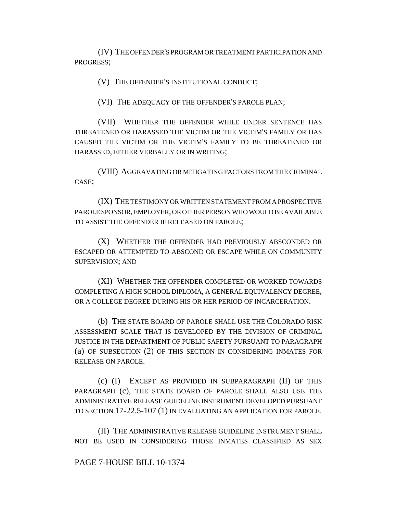(IV) THE OFFENDER'S PROGRAM OR TREATMENT PARTICIPATION AND PROGRESS;

(V) THE OFFENDER'S INSTITUTIONAL CONDUCT;

(VI) THE ADEQUACY OF THE OFFENDER'S PAROLE PLAN;

(VII) WHETHER THE OFFENDER WHILE UNDER SENTENCE HAS THREATENED OR HARASSED THE VICTIM OR THE VICTIM'S FAMILY OR HAS CAUSED THE VICTIM OR THE VICTIM'S FAMILY TO BE THREATENED OR HARASSED, EITHER VERBALLY OR IN WRITING;

(VIII) AGGRAVATING OR MITIGATING FACTORS FROM THE CRIMINAL CASE;

(IX) THE TESTIMONY OR WRITTEN STATEMENT FROM A PROSPECTIVE PAROLE SPONSOR, EMPLOYER, OR OTHER PERSON WHO WOULD BE AVAILABLE TO ASSIST THE OFFENDER IF RELEASED ON PAROLE;

(X) WHETHER THE OFFENDER HAD PREVIOUSLY ABSCONDED OR ESCAPED OR ATTEMPTED TO ABSCOND OR ESCAPE WHILE ON COMMUNITY SUPERVISION; AND

(XI) WHETHER THE OFFENDER COMPLETED OR WORKED TOWARDS COMPLETING A HIGH SCHOOL DIPLOMA, A GENERAL EQUIVALENCY DEGREE, OR A COLLEGE DEGREE DURING HIS OR HER PERIOD OF INCARCERATION.

(b) THE STATE BOARD OF PAROLE SHALL USE THE COLORADO RISK ASSESSMENT SCALE THAT IS DEVELOPED BY THE DIVISION OF CRIMINAL JUSTICE IN THE DEPARTMENT OF PUBLIC SAFETY PURSUANT TO PARAGRAPH (a) OF SUBSECTION (2) OF THIS SECTION IN CONSIDERING INMATES FOR RELEASE ON PAROLE.

(c) (I) EXCEPT AS PROVIDED IN SUBPARAGRAPH (II) OF THIS PARAGRAPH (c), THE STATE BOARD OF PAROLE SHALL ALSO USE THE ADMINISTRATIVE RELEASE GUIDELINE INSTRUMENT DEVELOPED PURSUANT TO SECTION 17-22.5-107 (1) IN EVALUATING AN APPLICATION FOR PAROLE.

(II) THE ADMINISTRATIVE RELEASE GUIDELINE INSTRUMENT SHALL NOT BE USED IN CONSIDERING THOSE INMATES CLASSIFIED AS SEX

### PAGE 7-HOUSE BILL 10-1374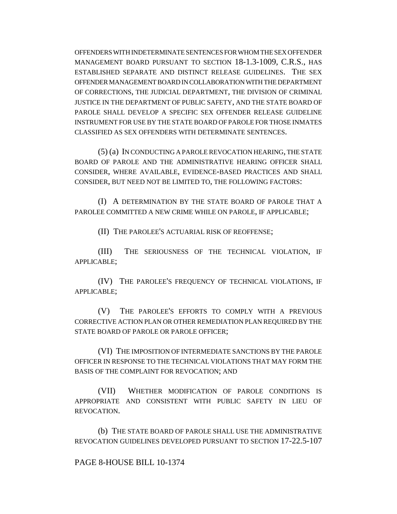OFFENDERS WITH INDETERMINATE SENTENCES FOR WHOM THE SEX OFFENDER MANAGEMENT BOARD PURSUANT TO SECTION 18-1.3-1009, C.R.S., HAS ESTABLISHED SEPARATE AND DISTINCT RELEASE GUIDELINES. THE SEX OFFENDER MANAGEMENT BOARD IN COLLABORATION WITH THE DEPARTMENT OF CORRECTIONS, THE JUDICIAL DEPARTMENT, THE DIVISION OF CRIMINAL JUSTICE IN THE DEPARTMENT OF PUBLIC SAFETY, AND THE STATE BOARD OF PAROLE SHALL DEVELOP A SPECIFIC SEX OFFENDER RELEASE GUIDELINE INSTRUMENT FOR USE BY THE STATE BOARD OF PAROLE FOR THOSE INMATES CLASSIFIED AS SEX OFFENDERS WITH DETERMINATE SENTENCES.

(5) (a) IN CONDUCTING A PAROLE REVOCATION HEARING, THE STATE BOARD OF PAROLE AND THE ADMINISTRATIVE HEARING OFFICER SHALL CONSIDER, WHERE AVAILABLE, EVIDENCE-BASED PRACTICES AND SHALL CONSIDER, BUT NEED NOT BE LIMITED TO, THE FOLLOWING FACTORS:

(I) A DETERMINATION BY THE STATE BOARD OF PAROLE THAT A PAROLEE COMMITTED A NEW CRIME WHILE ON PAROLE, IF APPLICABLE;

(II) THE PAROLEE'S ACTUARIAL RISK OF REOFFENSE;

(III) THE SERIOUSNESS OF THE TECHNICAL VIOLATION, IF APPLICABLE;

(IV) THE PAROLEE'S FREQUENCY OF TECHNICAL VIOLATIONS, IF APPLICABLE;

(V) THE PAROLEE'S EFFORTS TO COMPLY WITH A PREVIOUS CORRECTIVE ACTION PLAN OR OTHER REMEDIATION PLAN REQUIRED BY THE STATE BOARD OF PAROLE OR PAROLE OFFICER;

(VI) THE IMPOSITION OF INTERMEDIATE SANCTIONS BY THE PAROLE OFFICER IN RESPONSE TO THE TECHNICAL VIOLATIONS THAT MAY FORM THE BASIS OF THE COMPLAINT FOR REVOCATION; AND

(VII) WHETHER MODIFICATION OF PAROLE CONDITIONS IS APPROPRIATE AND CONSISTENT WITH PUBLIC SAFETY IN LIEU OF REVOCATION.

(b) THE STATE BOARD OF PAROLE SHALL USE THE ADMINISTRATIVE REVOCATION GUIDELINES DEVELOPED PURSUANT TO SECTION 17-22.5-107

### PAGE 8-HOUSE BILL 10-1374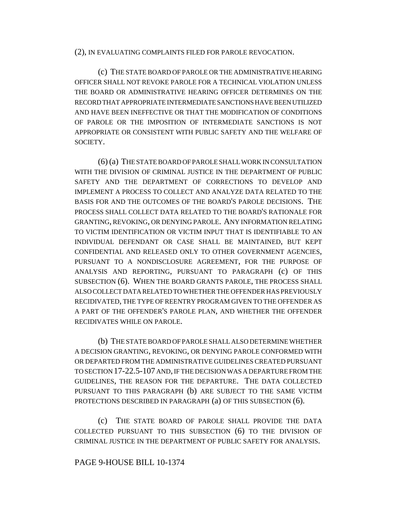(2), IN EVALUATING COMPLAINTS FILED FOR PAROLE REVOCATION.

(c) THE STATE BOARD OF PAROLE OR THE ADMINISTRATIVE HEARING OFFICER SHALL NOT REVOKE PAROLE FOR A TECHNICAL VIOLATION UNLESS THE BOARD OR ADMINISTRATIVE HEARING OFFICER DETERMINES ON THE RECORD THAT APPROPRIATE INTERMEDIATE SANCTIONS HAVE BEEN UTILIZED AND HAVE BEEN INEFFECTIVE OR THAT THE MODIFICATION OF CONDITIONS OF PAROLE OR THE IMPOSITION OF INTERMEDIATE SANCTIONS IS NOT APPROPRIATE OR CONSISTENT WITH PUBLIC SAFETY AND THE WELFARE OF SOCIETY.

(6) (a) THE STATE BOARD OF PAROLE SHALL WORK IN CONSULTATION WITH THE DIVISION OF CRIMINAL JUSTICE IN THE DEPARTMENT OF PUBLIC SAFETY AND THE DEPARTMENT OF CORRECTIONS TO DEVELOP AND IMPLEMENT A PROCESS TO COLLECT AND ANALYZE DATA RELATED TO THE BASIS FOR AND THE OUTCOMES OF THE BOARD'S PAROLE DECISIONS. THE PROCESS SHALL COLLECT DATA RELATED TO THE BOARD'S RATIONALE FOR GRANTING, REVOKING, OR DENYING PAROLE. ANY INFORMATION RELATING TO VICTIM IDENTIFICATION OR VICTIM INPUT THAT IS IDENTIFIABLE TO AN INDIVIDUAL DEFENDANT OR CASE SHALL BE MAINTAINED, BUT KEPT CONFIDENTIAL AND RELEASED ONLY TO OTHER GOVERNMENT AGENCIES, PURSUANT TO A NONDISCLOSURE AGREEMENT, FOR THE PURPOSE OF ANALYSIS AND REPORTING, PURSUANT TO PARAGRAPH (c) OF THIS SUBSECTION (6). WHEN THE BOARD GRANTS PAROLE, THE PROCESS SHALL ALSO COLLECT DATA RELATED TO WHETHER THE OFFENDER HAS PREVIOUSLY RECIDIVATED, THE TYPE OF REENTRY PROGRAM GIVEN TO THE OFFENDER AS A PART OF THE OFFENDER'S PAROLE PLAN, AND WHETHER THE OFFENDER RECIDIVATES WHILE ON PAROLE.

(b) THE STATE BOARD OF PAROLE SHALL ALSO DETERMINE WHETHER A DECISION GRANTING, REVOKING, OR DENYING PAROLE CONFORMED WITH OR DEPARTED FROM THE ADMINISTRATIVE GUIDELINES CREATED PURSUANT TO SECTION 17-22.5-107 AND, IF THE DECISION WAS A DEPARTURE FROM THE GUIDELINES, THE REASON FOR THE DEPARTURE. THE DATA COLLECTED PURSUANT TO THIS PARAGRAPH (b) ARE SUBJECT TO THE SAME VICTIM PROTECTIONS DESCRIBED IN PARAGRAPH (a) OF THIS SUBSECTION (6).

(c) THE STATE BOARD OF PAROLE SHALL PROVIDE THE DATA COLLECTED PURSUANT TO THIS SUBSECTION (6) TO THE DIVISION OF CRIMINAL JUSTICE IN THE DEPARTMENT OF PUBLIC SAFETY FOR ANALYSIS.

### PAGE 9-HOUSE BILL 10-1374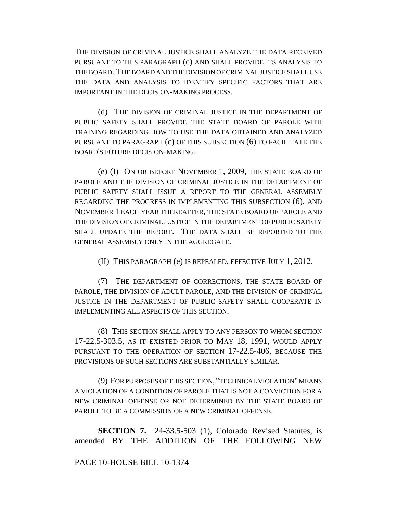THE DIVISION OF CRIMINAL JUSTICE SHALL ANALYZE THE DATA RECEIVED PURSUANT TO THIS PARAGRAPH (c) AND SHALL PROVIDE ITS ANALYSIS TO THE BOARD. THE BOARD AND THE DIVISION OF CRIMINAL JUSTICE SHALL USE THE DATA AND ANALYSIS TO IDENTIFY SPECIFIC FACTORS THAT ARE IMPORTANT IN THE DECISION-MAKING PROCESS.

(d) THE DIVISION OF CRIMINAL JUSTICE IN THE DEPARTMENT OF PUBLIC SAFETY SHALL PROVIDE THE STATE BOARD OF PAROLE WITH TRAINING REGARDING HOW TO USE THE DATA OBTAINED AND ANALYZED PURSUANT TO PARAGRAPH (c) OF THIS SUBSECTION (6) TO FACILITATE THE BOARD'S FUTURE DECISION-MAKING.

(e) (I) ON OR BEFORE NOVEMBER 1, 2009, THE STATE BOARD OF PAROLE AND THE DIVISION OF CRIMINAL JUSTICE IN THE DEPARTMENT OF PUBLIC SAFETY SHALL ISSUE A REPORT TO THE GENERAL ASSEMBLY REGARDING THE PROGRESS IN IMPLEMENTING THIS SUBSECTION (6), AND NOVEMBER 1 EACH YEAR THEREAFTER, THE STATE BOARD OF PAROLE AND THE DIVISION OF CRIMINAL JUSTICE IN THE DEPARTMENT OF PUBLIC SAFETY SHALL UPDATE THE REPORT. THE DATA SHALL BE REPORTED TO THE GENERAL ASSEMBLY ONLY IN THE AGGREGATE.

(II) THIS PARAGRAPH (e) IS REPEALED, EFFECTIVE JULY 1, 2012.

(7) THE DEPARTMENT OF CORRECTIONS, THE STATE BOARD OF PAROLE, THE DIVISION OF ADULT PAROLE, AND THE DIVISION OF CRIMINAL JUSTICE IN THE DEPARTMENT OF PUBLIC SAFETY SHALL COOPERATE IN IMPLEMENTING ALL ASPECTS OF THIS SECTION.

(8) THIS SECTION SHALL APPLY TO ANY PERSON TO WHOM SECTION 17-22.5-303.5, AS IT EXISTED PRIOR TO MAY 18, 1991, WOULD APPLY PURSUANT TO THE OPERATION OF SECTION 17-22.5-406, BECAUSE THE PROVISIONS OF SUCH SECTIONS ARE SUBSTANTIALLY SIMILAR.

(9) FOR PURPOSES OF THIS SECTION, "TECHNICAL VIOLATION" MEANS A VIOLATION OF A CONDITION OF PAROLE THAT IS NOT A CONVICTION FOR A NEW CRIMINAL OFFENSE OR NOT DETERMINED BY THE STATE BOARD OF PAROLE TO BE A COMMISSION OF A NEW CRIMINAL OFFENSE.

**SECTION 7.** 24-33.5-503 (1), Colorado Revised Statutes, is amended BY THE ADDITION OF THE FOLLOWING NEW

### PAGE 10-HOUSE BILL 10-1374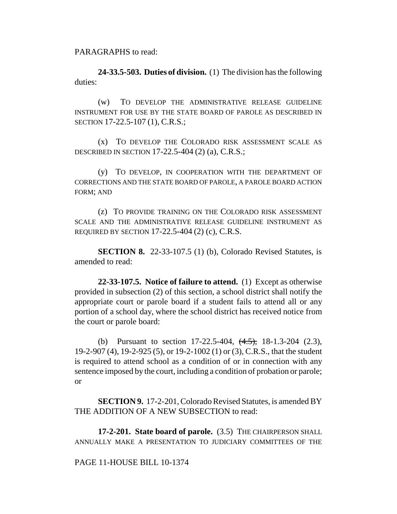PARAGRAPHS to read:

**24-33.5-503. Duties of division.** (1) The division has the following duties:

(w) TO DEVELOP THE ADMINISTRATIVE RELEASE GUIDELINE INSTRUMENT FOR USE BY THE STATE BOARD OF PAROLE AS DESCRIBED IN SECTION 17-22.5-107 (1), C.R.S.;

(x) TO DEVELOP THE COLORADO RISK ASSESSMENT SCALE AS DESCRIBED IN SECTION 17-22.5-404 (2) (a), C.R.S.;

(y) TO DEVELOP, IN COOPERATION WITH THE DEPARTMENT OF CORRECTIONS AND THE STATE BOARD OF PAROLE, A PAROLE BOARD ACTION FORM; AND

(z) TO PROVIDE TRAINING ON THE COLORADO RISK ASSESSMENT SCALE AND THE ADMINISTRATIVE RELEASE GUIDELINE INSTRUMENT AS REQUIRED BY SECTION 17-22.5-404 (2) (c), C.R.S.

**SECTION 8.** 22-33-107.5 (1) (b), Colorado Revised Statutes, is amended to read:

**22-33-107.5. Notice of failure to attend.** (1) Except as otherwise provided in subsection (2) of this section, a school district shall notify the appropriate court or parole board if a student fails to attend all or any portion of a school day, where the school district has received notice from the court or parole board:

(b) Pursuant to section 17-22.5-404,  $(4.5)$ , 18-1.3-204 (2.3), 19-2-907 (4), 19-2-925 (5), or 19-2-1002 (1) or (3), C.R.S., that the student is required to attend school as a condition of or in connection with any sentence imposed by the court, including a condition of probation or parole; or

**SECTION 9.** 17-2-201, Colorado Revised Statutes, is amended BY THE ADDITION OF A NEW SUBSECTION to read:

**17-2-201. State board of parole.** (3.5) THE CHAIRPERSON SHALL ANNUALLY MAKE A PRESENTATION TO JUDICIARY COMMITTEES OF THE

PAGE 11-HOUSE BILL 10-1374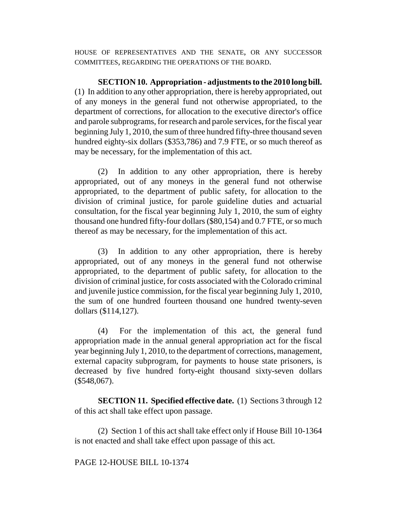HOUSE OF REPRESENTATIVES AND THE SENATE, OR ANY SUCCESSOR COMMITTEES, REGARDING THE OPERATIONS OF THE BOARD.

**SECTION 10. Appropriation - adjustments to the 2010 long bill.** (1) In addition to any other appropriation, there is hereby appropriated, out of any moneys in the general fund not otherwise appropriated, to the department of corrections, for allocation to the executive director's office and parole subprograms, for research and parole services, for the fiscal year beginning July 1, 2010, the sum of three hundred fifty-three thousand seven hundred eighty-six dollars (\$353,786) and 7.9 FTE, or so much thereof as may be necessary, for the implementation of this act.

(2) In addition to any other appropriation, there is hereby appropriated, out of any moneys in the general fund not otherwise appropriated, to the department of public safety, for allocation to the division of criminal justice, for parole guideline duties and actuarial consultation, for the fiscal year beginning July 1, 2010, the sum of eighty thousand one hundred fifty-four dollars (\$80,154) and 0.7 FTE, or so much thereof as may be necessary, for the implementation of this act.

(3) In addition to any other appropriation, there is hereby appropriated, out of any moneys in the general fund not otherwise appropriated, to the department of public safety, for allocation to the division of criminal justice, for costs associated with the Colorado criminal and juvenile justice commission, for the fiscal year beginning July 1, 2010, the sum of one hundred fourteen thousand one hundred twenty-seven dollars (\$114,127).

(4) For the implementation of this act, the general fund appropriation made in the annual general appropriation act for the fiscal year beginning July 1, 2010, to the department of corrections, management, external capacity subprogram, for payments to house state prisoners, is decreased by five hundred forty-eight thousand sixty-seven dollars (\$548,067).

**SECTION 11. Specified effective date.** (1) Sections 3 through 12 of this act shall take effect upon passage.

(2) Section 1 of this act shall take effect only if House Bill 10-1364 is not enacted and shall take effect upon passage of this act.

### PAGE 12-HOUSE BILL 10-1374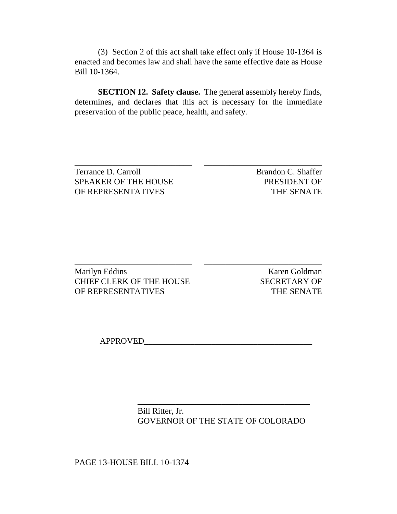(3) Section 2 of this act shall take effect only if House 10-1364 is enacted and becomes law and shall have the same effective date as House Bill 10-1364.

**SECTION 12. Safety clause.** The general assembly hereby finds, determines, and declares that this act is necessary for the immediate preservation of the public peace, health, and safety.

\_\_\_\_\_\_\_\_\_\_\_\_\_\_\_\_\_\_\_\_\_\_\_\_\_\_\_\_ \_\_\_\_\_\_\_\_\_\_\_\_\_\_\_\_\_\_\_\_\_\_\_\_\_\_\_\_

\_\_\_\_\_\_\_\_\_\_\_\_\_\_\_\_\_\_\_\_\_\_\_\_\_\_\_\_ \_\_\_\_\_\_\_\_\_\_\_\_\_\_\_\_\_\_\_\_\_\_\_\_\_\_\_\_

Terrance D. Carroll Brandon C. Shaffer SPEAKER OF THE HOUSE PRESIDENT OF OF REPRESENTATIVES THE SENATE

Marilyn Eddins Karen Goldman CHIEF CLERK OF THE HOUSE SECRETARY OF OF REPRESENTATIVES THE SENATE

APPROVED

 Bill Ritter, Jr. GOVERNOR OF THE STATE OF COLORADO

 $\frac{1}{\sqrt{2}}$  ,  $\frac{1}{\sqrt{2}}$  ,  $\frac{1}{\sqrt{2}}$  ,  $\frac{1}{\sqrt{2}}$  ,  $\frac{1}{\sqrt{2}}$  ,  $\frac{1}{\sqrt{2}}$  ,  $\frac{1}{\sqrt{2}}$  ,  $\frac{1}{\sqrt{2}}$  ,  $\frac{1}{\sqrt{2}}$  ,  $\frac{1}{\sqrt{2}}$  ,  $\frac{1}{\sqrt{2}}$  ,  $\frac{1}{\sqrt{2}}$  ,  $\frac{1}{\sqrt{2}}$  ,  $\frac{1}{\sqrt{2}}$  ,  $\frac{1}{\sqrt{2}}$ 

PAGE 13-HOUSE BILL 10-1374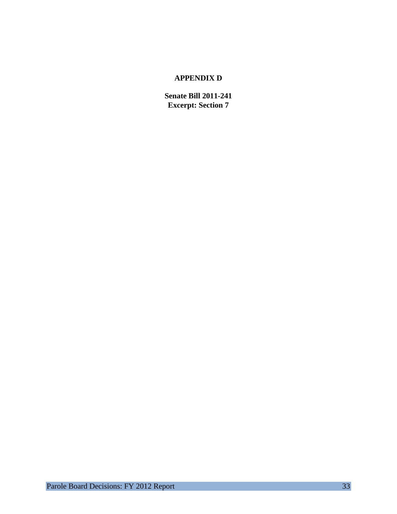## **APPENDIX D**

**Senate Bill 2011-241 Excerpt: Section 7**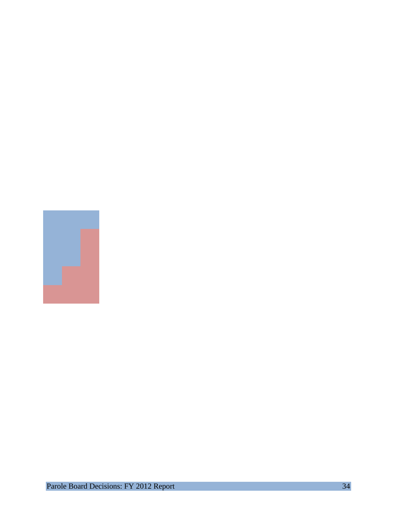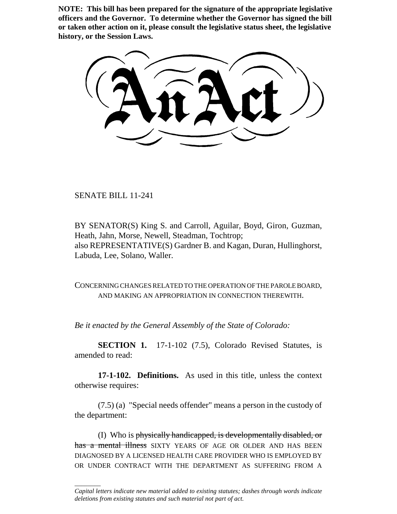**NOTE: This bill has been prepared for the signature of the appropriate legislative officers and the Governor. To determine whether the Governor has signed the bill or taken other action on it, please consult the legislative status sheet, the legislative history, or the Session Laws.**

SENATE BILL 11-241

\_\_\_\_\_\_\_\_

BY SENATOR(S) King S. and Carroll, Aguilar, Boyd, Giron, Guzman, Heath, Jahn, Morse, Newell, Steadman, Tochtrop; also REPRESENTATIVE(S) Gardner B. and Kagan, Duran, Hullinghorst, Labuda, Lee, Solano, Waller.

CONCERNING CHANGES RELATED TO THE OPERATION OF THE PAROLE BOARD, AND MAKING AN APPROPRIATION IN CONNECTION THEREWITH.

*Be it enacted by the General Assembly of the State of Colorado:*

**SECTION 1.** 17-1-102 (7.5), Colorado Revised Statutes, is amended to read:

**17-1-102. Definitions.** As used in this title, unless the context otherwise requires:

(7.5) (a) "Special needs offender" means a person in the custody of the department:

(I) Who is physically handicapped, is developmentally disabled, or has a mental illness SIXTY YEARS OF AGE OR OLDER AND HAS BEEN DIAGNOSED BY A LICENSED HEALTH CARE PROVIDER WHO IS EMPLOYED BY OR UNDER CONTRACT WITH THE DEPARTMENT AS SUFFERING FROM A

*Capital letters indicate new material added to existing statutes; dashes through words indicate deletions from existing statutes and such material not part of act.*